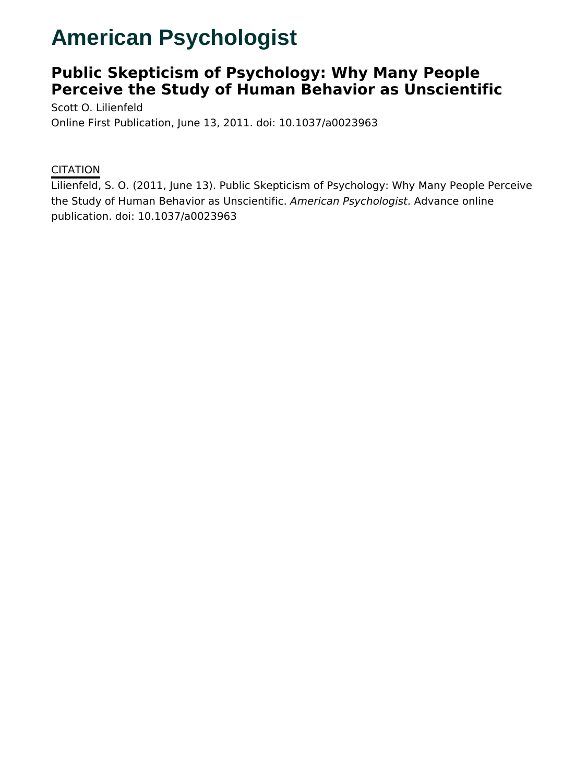# **American Psychologist**

## **Public Skepticism of Psychology: Why Many People Perceive the Study of Human Behavior as Unscientific**

Scott O. Lilienfeld Online First Publication, June 13, 2011. doi: 10.1037/a0023963

## **CITATION**

Lilienfeld, S. O. (2011, June 13). Public Skepticism of Psychology: Why Many People Perceive the Study of Human Behavior as Unscientific. American Psychologist. Advance online publication. doi: 10.1037/a0023963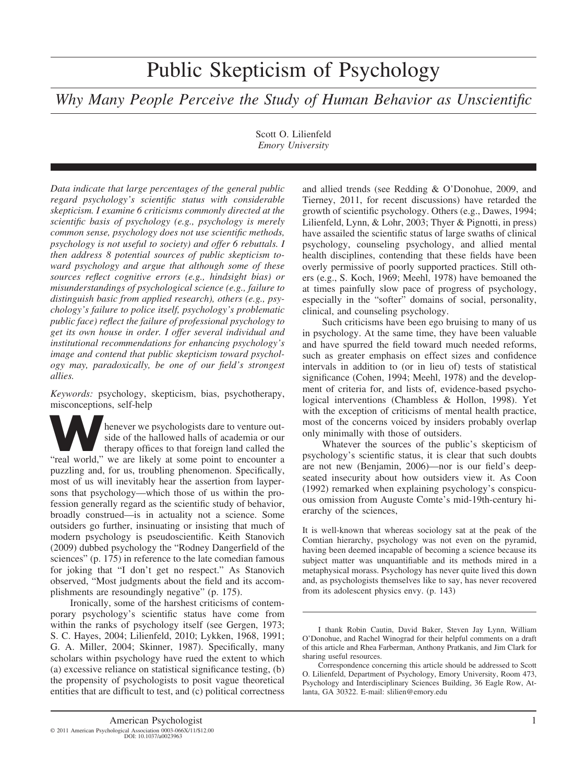## Public Skepticism of Psychology

*Why Many People Perceive the Study of Human Behavior as Unscientific*

Scott O. Lilienfeld *Emory University*

*Data indicate that large percentages of the general public regard psychology's scientific status with considerable skepticism. I examine 6 criticisms commonly directed at the scientific basis of psychology (e.g., psychology is merely common sense, psychology does not use scientific methods, psychology is not useful to society) and offer 6 rebuttals. I then address 8 potential sources of public skepticism toward psychology and argue that although some of these sources reflect cognitive errors (e.g., hindsight bias) or misunderstandings of psychological science (e.g., failure to distinguish basic from applied research), others (e.g., psychology's failure to police itself, psychology's problematic public face) reflect the failure of professional psychology to get its own house in order. I offer several individual and institutional recommendations for enhancing psychology's image and contend that public skepticism toward psychology may, paradoxically, be one of our field's strongest allies.*

*Keywords:* psychology, skepticism, bias, psychotherapy, misconceptions, self-help

henever we psychologists dare to venture outside of the hallowed halls of academia or our therapy offices to that foreign land called the "real world," we are likely at some point to encounter a puzzling and, for us, troubling phenomenon. Specifically, most of us will inevitably hear the assertion from laypersons that psychology—which those of us within the profession generally regard as the scientific study of behavior, broadly construed—is in actuality not a science. Some outsiders go further, insinuating or insisting that much of modern psychology is pseudoscientific. Keith Stanovich (2009) dubbed psychology the "Rodney Dangerfield of the sciences" (p. 175) in reference to the late comedian famous for joking that "I don't get no respect." As Stanovich observed, "Most judgments about the field and its accomplishments are resoundingly negative" (p. 175).

Ironically, some of the harshest criticisms of contemporary psychology's scientific status have come from within the ranks of psychology itself (see Gergen, 1973; S. C. Hayes, 2004; Lilienfeld, 2010; Lykken, 1968, 1991; G. A. Miller, 2004; Skinner, 1987). Specifically, many scholars within psychology have rued the extent to which (a) excessive reliance on statistical significance testing, (b) the propensity of psychologists to posit vague theoretical entities that are difficult to test, and (c) political correctness

and allied trends (see Redding & O'Donohue, 2009, and Tierney, 2011, for recent discussions) have retarded the growth of scientific psychology. Others (e.g., Dawes, 1994; Lilienfeld, Lynn, & Lohr, 2003; Thyer & Pignotti, in press) have assailed the scientific status of large swaths of clinical psychology, counseling psychology, and allied mental health disciplines, contending that these fields have been overly permissive of poorly supported practices. Still others (e.g., S. Koch, 1969; Meehl, 1978) have bemoaned the at times painfully slow pace of progress of psychology, especially in the "softer" domains of social, personality, clinical, and counseling psychology.

Such criticisms have been ego bruising to many of us in psychology. At the same time, they have been valuable and have spurred the field toward much needed reforms, such as greater emphasis on effect sizes and confidence intervals in addition to (or in lieu of) tests of statistical significance (Cohen, 1994; Meehl, 1978) and the development of criteria for, and lists of, evidence-based psychological interventions (Chambless & Hollon, 1998). Yet with the exception of criticisms of mental health practice, most of the concerns voiced by insiders probably overlap only minimally with those of outsiders.

Whatever the sources of the public's skepticism of psychology's scientific status, it is clear that such doubts are not new (Benjamin, 2006)—nor is our field's deepseated insecurity about how outsiders view it. As Coon (1992) remarked when explaining psychology's conspicuous omission from Auguste Comte's mid-19th-century hierarchy of the sciences,

It is well-known that whereas sociology sat at the peak of the Comtian hierarchy, psychology was not even on the pyramid, having been deemed incapable of becoming a science because its subject matter was unquantifiable and its methods mired in a metaphysical morass. Psychology has never quite lived this down and, as psychologists themselves like to say, has never recovered from its adolescent physics envy. (p. 143)

I thank Robin Cautin, David Baker, Steven Jay Lynn, William O'Donohue, and Rachel Winograd for their helpful comments on a draft of this article and Rhea Farberman, Anthony Pratkanis, and Jim Clark for sharing useful resources.

Correspondence concerning this article should be addressed to Scott O. Lilienfeld, Department of Psychology, Emory University, Room 473, Psychology and Interdisciplinary Sciences Building, 36 Eagle Row, Atlanta, GA 30322. E-mail: slilien@emory.edu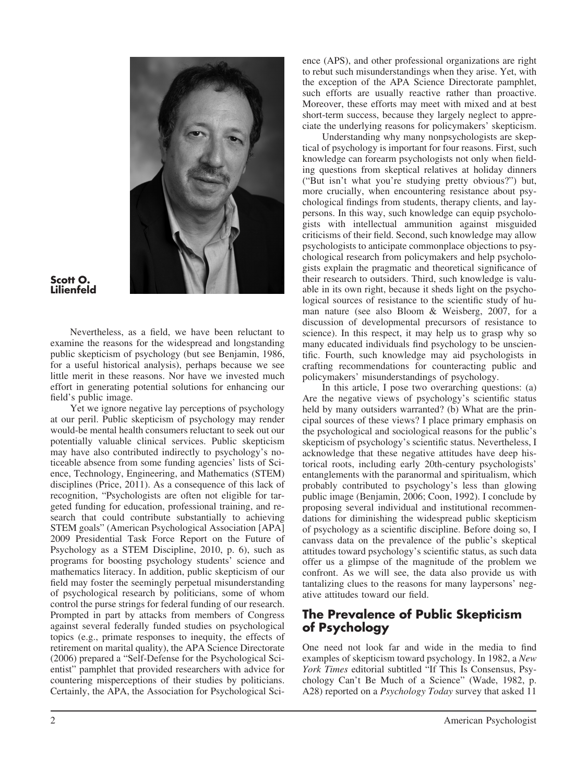

**Scott O. Lilienfeld**

Nevertheless, as a field, we have been reluctant to examine the reasons for the widespread and longstanding public skepticism of psychology (but see Benjamin, 1986, for a useful historical analysis), perhaps because we see little merit in these reasons. Nor have we invested much effort in generating potential solutions for enhancing our field's public image.

Yet we ignore negative lay perceptions of psychology at our peril. Public skepticism of psychology may render would-be mental health consumers reluctant to seek out our potentially valuable clinical services. Public skepticism may have also contributed indirectly to psychology's noticeable absence from some funding agencies' lists of Science, Technology, Engineering, and Mathematics (STEM) disciplines (Price, 2011). As a consequence of this lack of recognition, "Psychologists are often not eligible for targeted funding for education, professional training, and research that could contribute substantially to achieving STEM goals" (American Psychological Association [APA] 2009 Presidential Task Force Report on the Future of Psychology as a STEM Discipline, 2010, p. 6), such as programs for boosting psychology students' science and mathematics literacy. In addition, public skepticism of our field may foster the seemingly perpetual misunderstanding of psychological research by politicians, some of whom control the purse strings for federal funding of our research. Prompted in part by attacks from members of Congress against several federally funded studies on psychological topics (e.g., primate responses to inequity, the effects of retirement on marital quality), the APA Science Directorate (2006) prepared a "Self-Defense for the Psychological Scientist" pamphlet that provided researchers with advice for countering misperceptions of their studies by politicians. Certainly, the APA, the Association for Psychological Science (APS), and other professional organizations are right to rebut such misunderstandings when they arise. Yet, with the exception of the APA Science Directorate pamphlet, such efforts are usually reactive rather than proactive. Moreover, these efforts may meet with mixed and at best short-term success, because they largely neglect to appreciate the underlying reasons for policymakers' skepticism.

Understanding why many nonpsychologists are skeptical of psychology is important for four reasons. First, such knowledge can forearm psychologists not only when fielding questions from skeptical relatives at holiday dinners ("But isn't what you're studying pretty obvious?") but, more crucially, when encountering resistance about psychological findings from students, therapy clients, and laypersons. In this way, such knowledge can equip psychologists with intellectual ammunition against misguided criticisms of their field. Second, such knowledge may allow psychologists to anticipate commonplace objections to psychological research from policymakers and help psychologists explain the pragmatic and theoretical significance of their research to outsiders. Third, such knowledge is valuable in its own right, because it sheds light on the psychological sources of resistance to the scientific study of human nature (see also Bloom & Weisberg, 2007, for a discussion of developmental precursors of resistance to science). In this respect, it may help us to grasp why so many educated individuals find psychology to be unscientific. Fourth, such knowledge may aid psychologists in crafting recommendations for counteracting public and policymakers' misunderstandings of psychology.

In this article, I pose two overarching questions: (a) Are the negative views of psychology's scientific status held by many outsiders warranted? (b) What are the principal sources of these views? I place primary emphasis on the psychological and sociological reasons for the public's skepticism of psychology's scientific status. Nevertheless, I acknowledge that these negative attitudes have deep historical roots, including early 20th-century psychologists' entanglements with the paranormal and spiritualism, which probably contributed to psychology's less than glowing public image (Benjamin, 2006; Coon, 1992). I conclude by proposing several individual and institutional recommendations for diminishing the widespread public skepticism of psychology as a scientific discipline. Before doing so, I canvass data on the prevalence of the public's skeptical attitudes toward psychology's scientific status, as such data offer us a glimpse of the magnitude of the problem we confront. As we will see, the data also provide us with tantalizing clues to the reasons for many laypersons' negative attitudes toward our field.

## **The Prevalence of Public Skepticism of Psychology**

One need not look far and wide in the media to find examples of skepticism toward psychology. In 1982, a *New York Times* editorial subtitled "If This Is Consensus, Psychology Can't Be Much of a Science" (Wade, 1982, p. A28) reported on a *Psychology Today* survey that asked 11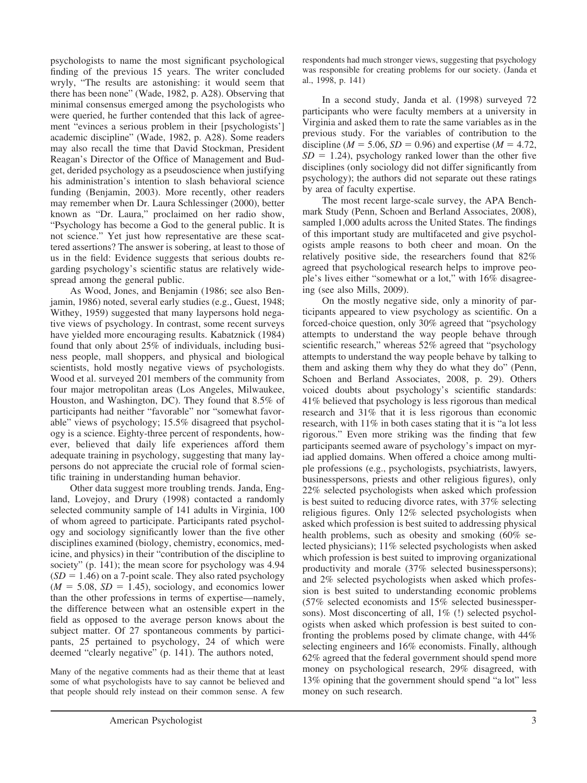psychologists to name the most significant psychological finding of the previous 15 years. The writer concluded wryly, "The results are astonishing: it would seem that there has been none" (Wade, 1982, p. A28). Observing that minimal consensus emerged among the psychologists who were queried, he further contended that this lack of agreement "evinces a serious problem in their [psychologists'] academic discipline" (Wade, 1982, p. A28). Some readers may also recall the time that David Stockman, President Reagan's Director of the Office of Management and Budget, derided psychology as a pseudoscience when justifying his administration's intention to slash behavioral science funding (Benjamin, 2003). More recently, other readers may remember when Dr. Laura Schlessinger (2000), better known as "Dr. Laura," proclaimed on her radio show, "Psychology has become a God to the general public. It is not science." Yet just how representative are these scattered assertions? The answer is sobering, at least to those of us in the field: Evidence suggests that serious doubts regarding psychology's scientific status are relatively widespread among the general public.

As Wood, Jones, and Benjamin (1986; see also Benjamin, 1986) noted, several early studies (e.g., Guest, 1948; Withey, 1959) suggested that many laypersons hold negative views of psychology. In contrast, some recent surveys have yielded more encouraging results. Kabatznick (1984) found that only about 25% of individuals, including business people, mall shoppers, and physical and biological scientists, hold mostly negative views of psychologists. Wood et al. surveyed 201 members of the community from four major metropolitan areas (Los Angeles, Milwaukee, Houston, and Washington, DC). They found that 8.5% of participants had neither "favorable" nor "somewhat favorable" views of psychology; 15.5% disagreed that psychology is a science. Eighty-three percent of respondents, however, believed that daily life experiences afford them adequate training in psychology, suggesting that many laypersons do not appreciate the crucial role of formal scientific training in understanding human behavior.

Other data suggest more troubling trends. Janda, England, Lovejoy, and Drury (1998) contacted a randomly selected community sample of 141 adults in Virginia, 100 of whom agreed to participate. Participants rated psychology and sociology significantly lower than the five other disciplines examined (biology, chemistry, economics, medicine, and physics) in their "contribution of the discipline to society" (p. 141); the mean score for psychology was 4.94  $(SD = 1.46)$  on a 7-point scale. They also rated psychology  $(M = 5.08, SD = 1.45)$ , sociology, and economics lower than the other professions in terms of expertise—namely, the difference between what an ostensible expert in the field as opposed to the average person knows about the subject matter. Of 27 spontaneous comments by participants, 25 pertained to psychology, 24 of which were deemed "clearly negative" (p. 141). The authors noted,

Many of the negative comments had as their theme that at least some of what psychologists have to say cannot be believed and that people should rely instead on their common sense. A few

respondents had much stronger views, suggesting that psychology was responsible for creating problems for our society. (Janda et al., 1998, p. 141)

In a second study, Janda et al. (1998) surveyed 72 participants who were faculty members at a university in Virginia and asked them to rate the same variables as in the previous study. For the variables of contribution to the discipline ( $M = 5.06$ ,  $SD = 0.96$ ) and expertise ( $M = 4.72$ ,  $SD = 1.24$ , psychology ranked lower than the other five disciplines (only sociology did not differ significantly from psychology); the authors did not separate out these ratings by area of faculty expertise.

The most recent large-scale survey, the APA Benchmark Study (Penn, Schoen and Berland Associates, 2008), sampled 1,000 adults across the United States. The findings of this important study are multifaceted and give psychologists ample reasons to both cheer and moan. On the relatively positive side, the researchers found that 82% agreed that psychological research helps to improve people's lives either "somewhat or a lot," with 16% disagreeing (see also Mills, 2009).

On the mostly negative side, only a minority of participants appeared to view psychology as scientific. On a forced-choice question, only 30% agreed that "psychology attempts to understand the way people behave through scientific research," whereas 52% agreed that "psychology attempts to understand the way people behave by talking to them and asking them why they do what they do" (Penn, Schoen and Berland Associates, 2008, p. 29). Others voiced doubts about psychology's scientific standards: 41% believed that psychology is less rigorous than medical research and 31% that it is less rigorous than economic research, with 11% in both cases stating that it is "a lot less rigorous." Even more striking was the finding that few participants seemed aware of psychology's impact on myriad applied domains. When offered a choice among multiple professions (e.g., psychologists, psychiatrists, lawyers, businesspersons, priests and other religious figures), only 22% selected psychologists when asked which profession is best suited to reducing divorce rates, with 37% selecting religious figures. Only 12% selected psychologists when asked which profession is best suited to addressing physical health problems, such as obesity and smoking (60% selected physicians); 11% selected psychologists when asked which profession is best suited to improving organizational productivity and morale (37% selected businesspersons); and 2% selected psychologists when asked which profession is best suited to understanding economic problems (57% selected economists and 15% selected businesspersons). Most disconcerting of all, 1% (!) selected psychologists when asked which profession is best suited to confronting the problems posed by climate change, with 44% selecting engineers and 16% economists. Finally, although 62% agreed that the federal government should spend more money on psychological research, 29% disagreed, with 13% opining that the government should spend "a lot" less money on such research.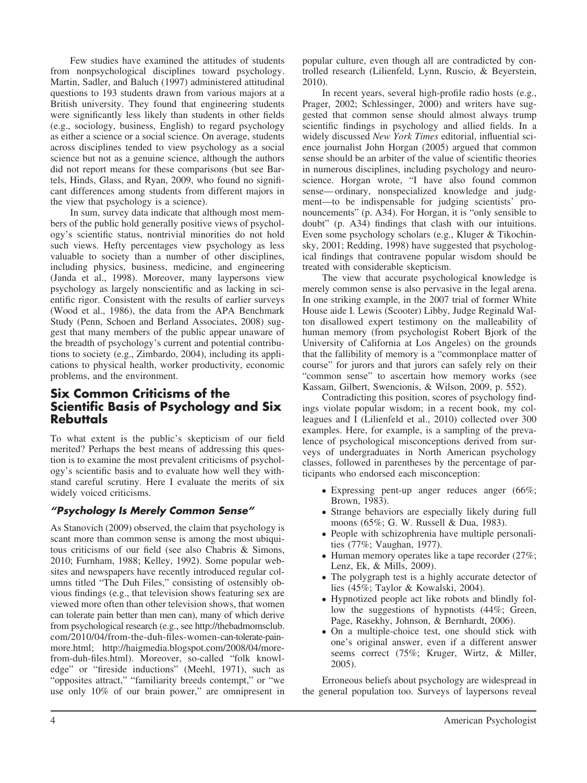Few studies have examined the attitudes of students from nonpsychological disciplines toward psychology. Martin, Sadler, and Baluch (1997) administered attitudinal questions to 193 students drawn from various majors at a British university. They found that engineering students were significantly less likely than students in other fields (e.g., sociology, business, English) to regard psychology as either a science or a social science. On average, students across disciplines tended to view psychology as a social science but not as a genuine science, although the authors did not report means for these comparisons (but see Bartels, Hinds, Glass, and Ryan, 2009, who found no significant differences among students from different majors in the view that psychology is a science).

In sum, survey data indicate that although most members of the public hold generally positive views of psychology's scientific status, nontrivial minorities do not hold such views. Hefty percentages view psychology as less valuable to society than a number of other disciplines, including physics, business, medicine, and engineering (Janda et al., 1998). Moreover, many laypersons view psychology as largely nonscientific and as lacking in scientific rigor. Consistent with the results of earlier surveys (Wood et al., 1986), the data from the APA Benchmark Study (Penn, Schoen and Berland Associates, 2008) suggest that many members of the public appear unaware of the breadth of psychology's current and potential contributions to society (e.g., Zimbardo, 2004), including its applications to physical health, worker productivity, economic problems, and the environment.

## **Six Common Criticisms of the Scientific Basis of Psychology and Six Rebuttals**

To what extent is the public's skepticism of our field merited? Perhaps the best means of addressing this question is to examine the most prevalent criticisms of psychology's scientific basis and to evaluate how well they withstand careful scrutiny. Here I evaluate the merits of six widely voiced criticisms.

### *"Psychology Is Merely Common Sense"*

As Stanovich (2009) observed, the claim that psychology is scant more than common sense is among the most ubiquitous criticisms of our field (see also Chabris & Simons, 2010; Furnham, 1988; Kelley, 1992). Some popular websites and newspapers have recently introduced regular columns titled "The Duh Files," consisting of ostensibly obvious findings (e.g., that television shows featuring sex are viewed more often than other television shows, that women can tolerate pain better than men can), many of which derive from psychological research (e.g., see http://thebadmomsclub. com/2010/04/from-the-duh-files-women-can-tolerate-painmore.html; http://haigmedia.blogspot.com/2008/04/morefrom-duh-files.html). Moreover, so-called "folk knowledge" or "fireside inductions" (Meehl, 1971), such as "opposites attract," "familiarity breeds contempt," or "we use only 10% of our brain power," are omnipresent in popular culture, even though all are contradicted by controlled research (Lilienfeld, Lynn, Ruscio, & Beyerstein, 2010).

In recent years, several high-profile radio hosts (e.g., Prager, 2002; Schlessinger, 2000) and writers have suggested that common sense should almost always trump scientific findings in psychology and allied fields. In a widely discussed *New York Times* editorial, influential science journalist John Horgan (2005) argued that common sense should be an arbiter of the value of scientific theories in numerous disciplines, including psychology and neuroscience. Horgan wrote, "I have also found common sense— ordinary, nonspecialized knowledge and judgment—to be indispensable for judging scientists' pronouncements" (p. A34). For Horgan, it is "only sensible to doubt" (p. A34) findings that clash with our intuitions. Even some psychology scholars (e.g., Kluger & Tikochinsky, 2001; Redding, 1998) have suggested that psychological findings that contravene popular wisdom should be treated with considerable skepticism.

The view that accurate psychological knowledge is merely common sense is also pervasive in the legal arena. In one striking example, in the 2007 trial of former White House aide I. Lewis (Scooter) Libby, Judge Reginald Walton disallowed expert testimony on the malleability of human memory (from psychologist Robert Bjork of the University of California at Los Angeles) on the grounds that the fallibility of memory is a "commonplace matter of course" for jurors and that jurors can safely rely on their "common sense" to ascertain how memory works (see Kassam, Gilbert, Swencionis, & Wilson, 2009, p. 552).

Contradicting this position, scores of psychology findings violate popular wisdom; in a recent book, my colleagues and I (Lilienfeld et al., 2010) collected over 300 examples. Here, for example, is a sampling of the prevalence of psychological misconceptions derived from surveys of undergraduates in North American psychology classes, followed in parentheses by the percentage of participants who endorsed each misconception:

- Expressing pent-up anger reduces anger (66%; Brown, 1983).
- Strange behaviors are especially likely during full moons (65%; G. W. Russell & Dua, 1983).
- People with schizophrenia have multiple personalities (77%; Vaughan, 1977).
- Human memory operates like a tape recorder  $(27\%;$ Lenz, Ek, & Mills, 2009).
- The polygraph test is a highly accurate detector of lies (45%; Taylor & Kowalski, 2004).
- Hypnotized people act like robots and blindly follow the suggestions of hypnotists (44%; Green, Page, Rasekhy, Johnson, & Bernhardt, 2006).
- On a multiple-choice test, one should stick with one's original answer, even if a different answer seems correct (75%; Kruger, Wirtz, & Miller, 2005).

Erroneous beliefs about psychology are widespread in the general population too. Surveys of laypersons reveal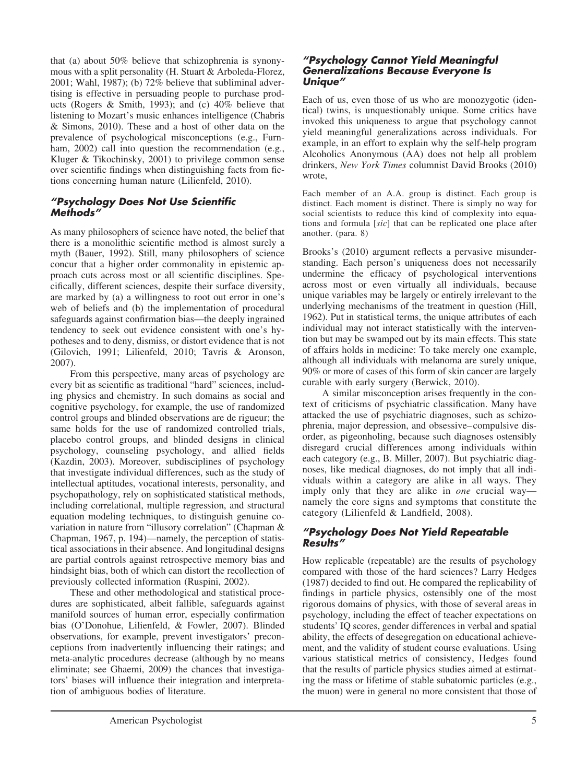that (a) about 50% believe that schizophrenia is synonymous with a split personality (H. Stuart & Arboleda-Florez, 2001; Wahl, 1987); (b) 72% believe that subliminal advertising is effective in persuading people to purchase products (Rogers & Smith, 1993); and (c) 40% believe that listening to Mozart's music enhances intelligence (Chabris & Simons, 2010). These and a host of other data on the prevalence of psychological misconceptions (e.g., Furnham, 2002) call into question the recommendation (e.g., Kluger & Tikochinsky, 2001) to privilege common sense over scientific findings when distinguishing facts from fictions concerning human nature (Lilienfeld, 2010).

#### *"Psychology Does Not Use Scientific Methods"*

As many philosophers of science have noted, the belief that there is a monolithic scientific method is almost surely a myth (Bauer, 1992). Still, many philosophers of science concur that a higher order commonality in epistemic approach cuts across most or all scientific disciplines. Specifically, different sciences, despite their surface diversity, are marked by (a) a willingness to root out error in one's web of beliefs and (b) the implementation of procedural safeguards against confirmation bias—the deeply ingrained tendency to seek out evidence consistent with one's hypotheses and to deny, dismiss, or distort evidence that is not (Gilovich, 1991; Lilienfeld, 2010; Tavris & Aronson, 2007).

From this perspective, many areas of psychology are every bit as scientific as traditional "hard" sciences, including physics and chemistry. In such domains as social and cognitive psychology, for example, the use of randomized control groups and blinded observations are de rigueur; the same holds for the use of randomized controlled trials, placebo control groups, and blinded designs in clinical psychology, counseling psychology, and allied fields (Kazdin, 2003). Moreover, subdisciplines of psychology that investigate individual differences, such as the study of intellectual aptitudes, vocational interests, personality, and psychopathology, rely on sophisticated statistical methods, including correlational, multiple regression, and structural equation modeling techniques, to distinguish genuine covariation in nature from "illusory correlation" (Chapman & Chapman, 1967, p. 194)—namely, the perception of statistical associations in their absence. And longitudinal designs are partial controls against retrospective memory bias and hindsight bias, both of which can distort the recollection of previously collected information (Ruspini, 2002).

These and other methodological and statistical procedures are sophisticated, albeit fallible, safeguards against manifold sources of human error, especially confirmation bias (O'Donohue, Lilienfeld, & Fowler, 2007). Blinded observations, for example, prevent investigators' preconceptions from inadvertently influencing their ratings; and meta-analytic procedures decrease (although by no means eliminate; see Ghaemi, 2009) the chances that investigators' biases will influence their integration and interpretation of ambiguous bodies of literature.

#### *"Psychology Cannot Yield Meaningful Generalizations Because Everyone Is Unique"*

Each of us, even those of us who are monozygotic (identical) twins, is unquestionably unique. Some critics have invoked this uniqueness to argue that psychology cannot yield meaningful generalizations across individuals. For example, in an effort to explain why the self-help program Alcoholics Anonymous (AA) does not help all problem drinkers, *New York Times* columnist David Brooks (2010) wrote,

Each member of an A.A. group is distinct. Each group is distinct. Each moment is distinct. There is simply no way for social scientists to reduce this kind of complexity into equations and formula [*sic*] that can be replicated one place after another. (para. 8)

Brooks's (2010) argument reflects a pervasive misunderstanding. Each person's uniqueness does not necessarily undermine the efficacy of psychological interventions across most or even virtually all individuals, because unique variables may be largely or entirely irrelevant to the underlying mechanisms of the treatment in question (Hill, 1962). Put in statistical terms, the unique attributes of each individual may not interact statistically with the intervention but may be swamped out by its main effects. This state of affairs holds in medicine: To take merely one example, although all individuals with melanoma are surely unique, 90% or more of cases of this form of skin cancer are largely curable with early surgery (Berwick, 2010).

A similar misconception arises frequently in the context of criticisms of psychiatric classification. Many have attacked the use of psychiatric diagnoses, such as schizophrenia, major depression, and obsessive– compulsive disorder, as pigeonholing, because such diagnoses ostensibly disregard crucial differences among individuals within each category (e.g., B. Miller, 2007). But psychiatric diagnoses, like medical diagnoses, do not imply that all individuals within a category are alike in all ways. They imply only that they are alike in *one* crucial way namely the core signs and symptoms that constitute the category (Lilienfeld & Landfield, 2008).

#### *"Psychology Does Not Yield Repeatable Results"*

How replicable (repeatable) are the results of psychology compared with those of the hard sciences? Larry Hedges (1987) decided to find out. He compared the replicability of findings in particle physics, ostensibly one of the most rigorous domains of physics, with those of several areas in psychology, including the effect of teacher expectations on students' IQ scores, gender differences in verbal and spatial ability, the effects of desegregation on educational achievement, and the validity of student course evaluations. Using various statistical metrics of consistency, Hedges found that the results of particle physics studies aimed at estimating the mass or lifetime of stable subatomic particles (e.g., the muon) were in general no more consistent that those of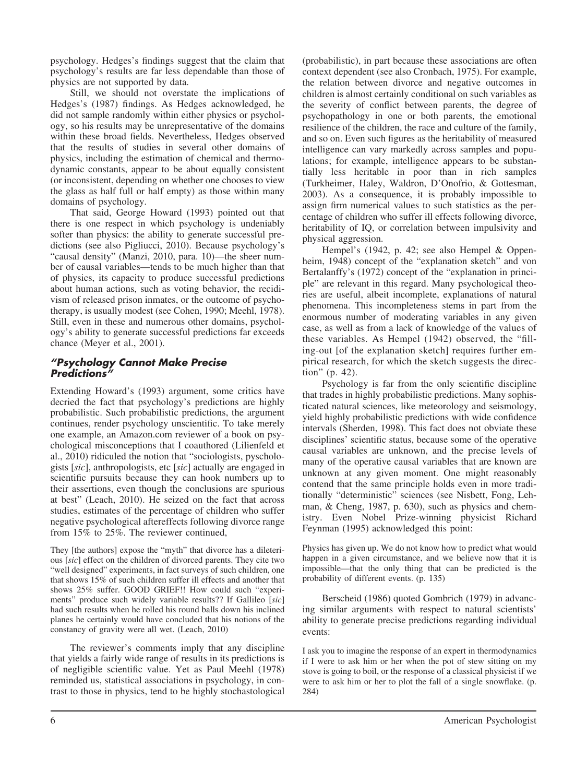psychology. Hedges's findings suggest that the claim that psychology's results are far less dependable than those of physics are not supported by data.

Still, we should not overstate the implications of Hedges's (1987) findings. As Hedges acknowledged, he did not sample randomly within either physics or psychology, so his results may be unrepresentative of the domains within these broad fields. Nevertheless, Hedges observed that the results of studies in several other domains of physics, including the estimation of chemical and thermodynamic constants, appear to be about equally consistent (or inconsistent, depending on whether one chooses to view the glass as half full or half empty) as those within many domains of psychology.

That said, George Howard (1993) pointed out that there is one respect in which psychology is undeniably softer than physics: the ability to generate successful predictions (see also Pigliucci, 2010). Because psychology's "causal density" (Manzi, 2010, para. 10)—the sheer number of causal variables—tends to be much higher than that of physics, its capacity to produce successful predictions about human actions, such as voting behavior, the recidivism of released prison inmates, or the outcome of psychotherapy, is usually modest (see Cohen, 1990; Meehl, 1978). Still, even in these and numerous other domains, psychology's ability to generate successful predictions far exceeds chance (Meyer et al., 2001).

#### *"Psychology Cannot Make Precise Predictions"*

Extending Howard's (1993) argument, some critics have decried the fact that psychology's predictions are highly probabilistic. Such probabilistic predictions, the argument continues, render psychology unscientific. To take merely one example, an Amazon.com reviewer of a book on psychological misconceptions that I coauthored (Lilienfeld et al., 2010) ridiculed the notion that "sociologists, pyschologists [*sic*], anthropologists, etc [*sic*] actually are engaged in scientific pursuits because they can hook numbers up to their assertions, even though the conclusions are spurious at best" (Leach, 2010). He seized on the fact that across studies, estimates of the percentage of children who suffer negative psychological aftereffects following divorce range from 15% to 25%. The reviewer continued,

They [the authors] expose the "myth" that divorce has a dileterious [*sic*] effect on the children of divorced parents. They cite two "well designed" experiments, in fact surveys of such children, one that shows 15% of such children suffer ill effects and another that shows 25% suffer. GOOD GRIEF!! How could such "experiments" produce such widely variable results?? If Gallileo [*sic*] had such results when he rolled his round balls down his inclined planes he certainly would have concluded that his notions of the constancy of gravity were all wet. (Leach, 2010)

The reviewer's comments imply that any discipline that yields a fairly wide range of results in its predictions is of negligible scientific value. Yet as Paul Meehl (1978) reminded us, statistical associations in psychology, in contrast to those in physics, tend to be highly stochastological

(probabilistic), in part because these associations are often context dependent (see also Cronbach, 1975). For example, the relation between divorce and negative outcomes in children is almost certainly conditional on such variables as the severity of conflict between parents, the degree of psychopathology in one or both parents, the emotional resilience of the children, the race and culture of the family, and so on. Even such figures as the heritability of measured intelligence can vary markedly across samples and populations; for example, intelligence appears to be substantially less heritable in poor than in rich samples (Turkheimer, Haley, Waldron, D'Onofrio, & Gottesman, 2003). As a consequence, it is probably impossible to assign firm numerical values to such statistics as the percentage of children who suffer ill effects following divorce, heritability of IQ, or correlation between impulsivity and physical aggression.

Hempel's (1942, p. 42; see also Hempel & Oppenheim, 1948) concept of the "explanation sketch" and von Bertalanffy's (1972) concept of the "explanation in principle" are relevant in this regard. Many psychological theories are useful, albeit incomplete, explanations of natural phenomena. This incompleteness stems in part from the enormous number of moderating variables in any given case, as well as from a lack of knowledge of the values of these variables. As Hempel (1942) observed, the "filling-out [of the explanation sketch] requires further empirical research, for which the sketch suggests the direction" (p. 42).

Psychology is far from the only scientific discipline that trades in highly probabilistic predictions. Many sophisticated natural sciences, like meteorology and seismology, yield highly probabilistic predictions with wide confidence intervals (Sherden, 1998). This fact does not obviate these disciplines' scientific status, because some of the operative causal variables are unknown, and the precise levels of many of the operative causal variables that are known are unknown at any given moment. One might reasonably contend that the same principle holds even in more traditionally "deterministic" sciences (see Nisbett, Fong, Lehman, & Cheng, 1987, p. 630), such as physics and chemistry. Even Nobel Prize-winning physicist Richard Feynman (1995) acknowledged this point:

Physics has given up. We do not know how to predict what would happen in a given circumstance, and we believe now that it is impossible—that the only thing that can be predicted is the probability of different events. (p. 135)

Berscheid (1986) quoted Gombrich (1979) in advancing similar arguments with respect to natural scientists' ability to generate precise predictions regarding individual events:

I ask you to imagine the response of an expert in thermodynamics if I were to ask him or her when the pot of stew sitting on my stove is going to boil, or the response of a classical physicist if we were to ask him or her to plot the fall of a single snowflake. (p. 284)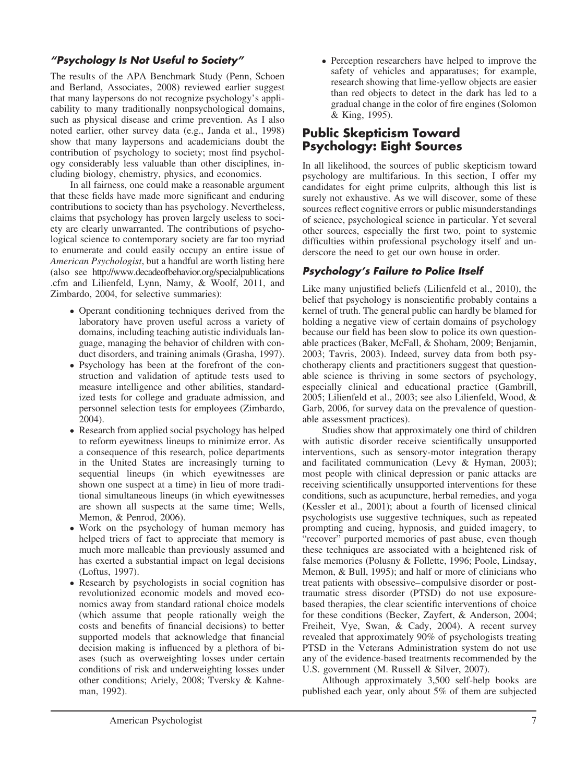### *"Psychology Is Not Useful to Society"*

The results of the APA Benchmark Study (Penn, Schoen and Berland, Associates, 2008) reviewed earlier suggest that many laypersons do not recognize psychology's applicability to many traditionally nonpsychological domains, such as physical disease and crime prevention. As I also noted earlier, other survey data (e.g., Janda et al., 1998) show that many laypersons and academicians doubt the contribution of psychology to society; most find psychology considerably less valuable than other disciplines, including biology, chemistry, physics, and economics.

In all fairness, one could make a reasonable argument that these fields have made more significant and enduring contributions to society than has psychology. Nevertheless, claims that psychology has proven largely useless to society are clearly unwarranted. The contributions of psychological science to contemporary society are far too myriad to enumerate and could easily occupy an entire issue of *American Psychologist*, but a handful are worth listing here (also see http://www.decadeofbehavior.org/specialpublications .cfm and Lilienfeld, Lynn, Namy, & Woolf, 2011, and Zimbardo, 2004, for selective summaries):

- Operant conditioning techniques derived from the laboratory have proven useful across a variety of domains, including teaching autistic individuals language, managing the behavior of children with conduct disorders, and training animals (Grasha, 1997).
- Psychology has been at the forefront of the construction and validation of aptitude tests used to measure intelligence and other abilities, standardized tests for college and graduate admission, and personnel selection tests for employees (Zimbardo, 2004).
- Research from applied social psychology has helped to reform eyewitness lineups to minimize error. As a consequence of this research, police departments in the United States are increasingly turning to sequential lineups (in which eyewitnesses are shown one suspect at a time) in lieu of more traditional simultaneous lineups (in which eyewitnesses are shown all suspects at the same time; Wells, Memon, & Penrod, 2006).
- Work on the psychology of human memory has helped triers of fact to appreciate that memory is much more malleable than previously assumed and has exerted a substantial impact on legal decisions (Loftus, 1997).
- Research by psychologists in social cognition has revolutionized economic models and moved economics away from standard rational choice models (which assume that people rationally weigh the costs and benefits of financial decisions) to better supported models that acknowledge that financial decision making is influenced by a plethora of biases (such as overweighting losses under certain conditions of risk and underweighting losses under other conditions; Ariely, 2008; Tversky & Kahneman, 1992).

• Perception researchers have helped to improve the safety of vehicles and apparatuses; for example, research showing that lime-yellow objects are easier than red objects to detect in the dark has led to a gradual change in the color of fire engines (Solomon & King, 1995).

## **Public Skepticism Toward Psychology: Eight Sources**

In all likelihood, the sources of public skepticism toward psychology are multifarious. In this section, I offer my candidates for eight prime culprits, although this list is surely not exhaustive. As we will discover, some of these sources reflect cognitive errors or public misunderstandings of science, psychological science in particular. Yet several other sources, especially the first two, point to systemic difficulties within professional psychology itself and underscore the need to get our own house in order.

### *Psychology's Failure to Police Itself*

Like many unjustified beliefs (Lilienfeld et al., 2010), the belief that psychology is nonscientific probably contains a kernel of truth. The general public can hardly be blamed for holding a negative view of certain domains of psychology because our field has been slow to police its own questionable practices (Baker, McFall, & Shoham, 2009; Benjamin, 2003; Tavris, 2003). Indeed, survey data from both psychotherapy clients and practitioners suggest that questionable science is thriving in some sectors of psychology, especially clinical and educational practice (Gambrill, 2005; Lilienfeld et al., 2003; see also Lilienfeld, Wood, & Garb, 2006, for survey data on the prevalence of questionable assessment practices).

Studies show that approximately one third of children with autistic disorder receive scientifically unsupported interventions, such as sensory-motor integration therapy and facilitated communication (Levy & Hyman, 2003); most people with clinical depression or panic attacks are receiving scientifically unsupported interventions for these conditions, such as acupuncture, herbal remedies, and yoga (Kessler et al., 2001); about a fourth of licensed clinical psychologists use suggestive techniques, such as repeated prompting and cueing, hypnosis, and guided imagery, to "recover" purported memories of past abuse, even though these techniques are associated with a heightened risk of false memories (Polusny & Follette, 1996; Poole, Lindsay, Memon, & Bull, 1995); and half or more of clinicians who treat patients with obsessive– compulsive disorder or posttraumatic stress disorder (PTSD) do not use exposurebased therapies, the clear scientific interventions of choice for these conditions (Becker, Zayfert, & Anderson, 2004; Freiheit, Vye, Swan, & Cady, 2004). A recent survey revealed that approximately 90% of psychologists treating PTSD in the Veterans Administration system do not use any of the evidence-based treatments recommended by the U.S. government (M. Russell & Silver, 2007).

Although approximately 3,500 self-help books are published each year, only about 5% of them are subjected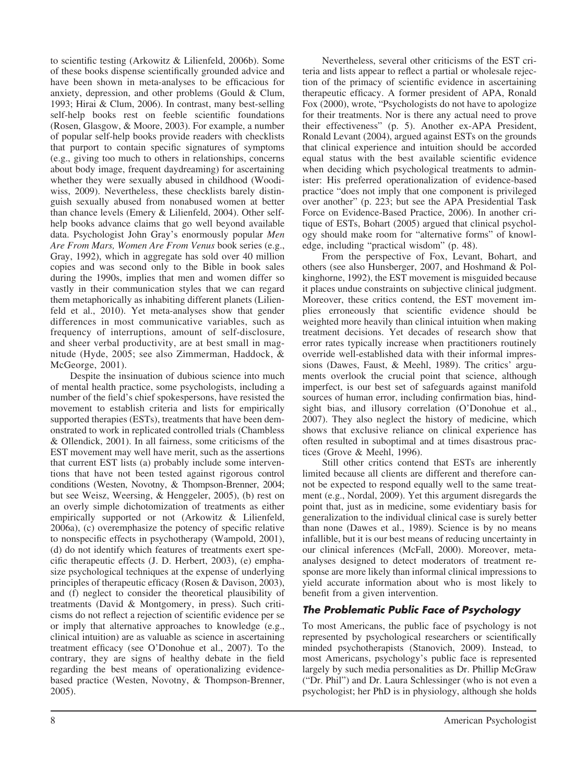to scientific testing (Arkowitz & Lilienfeld, 2006b). Some of these books dispense scientifically grounded advice and have been shown in meta-analyses to be efficacious for anxiety, depression, and other problems (Gould & Clum, 1993; Hirai & Clum, 2006). In contrast, many best-selling self-help books rest on feeble scientific foundations (Rosen, Glasgow, & Moore, 2003). For example, a number of popular self-help books provide readers with checklists that purport to contain specific signatures of symptoms (e.g., giving too much to others in relationships, concerns about body image, frequent daydreaming) for ascertaining whether they were sexually abused in childhood (Woodiwiss, 2009). Nevertheless, these checklists barely distinguish sexually abused from nonabused women at better than chance levels (Emery & Lilienfeld, 2004). Other selfhelp books advance claims that go well beyond available data. Psychologist John Gray's enormously popular *Men Are From Mars, Women Are From Venus* book series (e.g., Gray, 1992), which in aggregate has sold over 40 million copies and was second only to the Bible in book sales during the 1990s, implies that men and women differ so vastly in their communication styles that we can regard them metaphorically as inhabiting different planets (Lilienfeld et al., 2010). Yet meta-analyses show that gender differences in most communicative variables, such as frequency of interruptions, amount of self-disclosure, and sheer verbal productivity, are at best small in magnitude (Hyde, 2005; see also Zimmerman, Haddock, & McGeorge, 2001).

Despite the insinuation of dubious science into much of mental health practice, some psychologists, including a number of the field's chief spokespersons, have resisted the movement to establish criteria and lists for empirically supported therapies (ESTs), treatments that have been demonstrated to work in replicated controlled trials (Chambless & Ollendick, 2001). In all fairness, some criticisms of the EST movement may well have merit, such as the assertions that current EST lists (a) probably include some interventions that have not been tested against rigorous control conditions (Westen, Novotny, & Thompson-Brenner, 2004; but see Weisz, Weersing, & Henggeler, 2005), (b) rest on an overly simple dichotomization of treatments as either empirically supported or not (Arkowitz & Lilienfeld, 2006a), (c) overemphasize the potency of specific relative to nonspecific effects in psychotherapy (Wampold, 2001), (d) do not identify which features of treatments exert specific therapeutic effects (J. D. Herbert, 2003), (e) emphasize psychological techniques at the expense of underlying principles of therapeutic efficacy (Rosen & Davison, 2003), and (f) neglect to consider the theoretical plausibility of treatments (David & Montgomery, in press). Such criticisms do not reflect a rejection of scientific evidence per se or imply that alternative approaches to knowledge (e.g., clinical intuition) are as valuable as science in ascertaining treatment efficacy (see O'Donohue et al., 2007). To the contrary, they are signs of healthy debate in the field regarding the best means of operationalizing evidencebased practice (Westen, Novotny, & Thompson-Brenner, 2005).

Nevertheless, several other criticisms of the EST criteria and lists appear to reflect a partial or wholesale rejection of the primacy of scientific evidence in ascertaining therapeutic efficacy. A former president of APA, Ronald Fox (2000), wrote, "Psychologists do not have to apologize for their treatments. Nor is there any actual need to prove their effectiveness" (p. 5). Another ex-APA President, Ronald Levant (2004), argued against ESTs on the grounds that clinical experience and intuition should be accorded equal status with the best available scientific evidence when deciding which psychological treatments to administer: His preferred operationalization of evidence-based practice "does not imply that one component is privileged over another" (p. 223; but see the APA Presidential Task Force on Evidence-Based Practice, 2006). In another critique of ESTs, Bohart (2005) argued that clinical psychology should make room for "alternative forms" of knowledge, including "practical wisdom" (p. 48).

From the perspective of Fox, Levant, Bohart, and others (see also Hunsberger, 2007, and Hoshmand & Polkinghorne, 1992), the EST movement is misguided because it places undue constraints on subjective clinical judgment. Moreover, these critics contend, the EST movement implies erroneously that scientific evidence should be weighted more heavily than clinical intuition when making treatment decisions. Yet decades of research show that error rates typically increase when practitioners routinely override well-established data with their informal impressions (Dawes, Faust, & Meehl, 1989). The critics' arguments overlook the crucial point that science, although imperfect, is our best set of safeguards against manifold sources of human error, including confirmation bias, hindsight bias, and illusory correlation (O'Donohue et al., 2007). They also neglect the history of medicine, which shows that exclusive reliance on clinical experience has often resulted in suboptimal and at times disastrous practices (Grove & Meehl, 1996).

Still other critics contend that ESTs are inherently limited because all clients are different and therefore cannot be expected to respond equally well to the same treatment (e.g., Nordal, 2009). Yet this argument disregards the point that, just as in medicine, some evidentiary basis for generalization to the individual clinical case is surely better than none (Dawes et al., 1989). Science is by no means infallible, but it is our best means of reducing uncertainty in our clinical inferences (McFall, 2000). Moreover, metaanalyses designed to detect moderators of treatment response are more likely than informal clinical impressions to yield accurate information about who is most likely to benefit from a given intervention.

## *The Problematic Public Face of Psychology*

To most Americans, the public face of psychology is not represented by psychological researchers or scientifically minded psychotherapists (Stanovich, 2009). Instead, to most Americans, psychology's public face is represented largely by such media personalities as Dr. Phillip McGraw ("Dr. Phil") and Dr. Laura Schlessinger (who is not even a psychologist; her PhD is in physiology, although she holds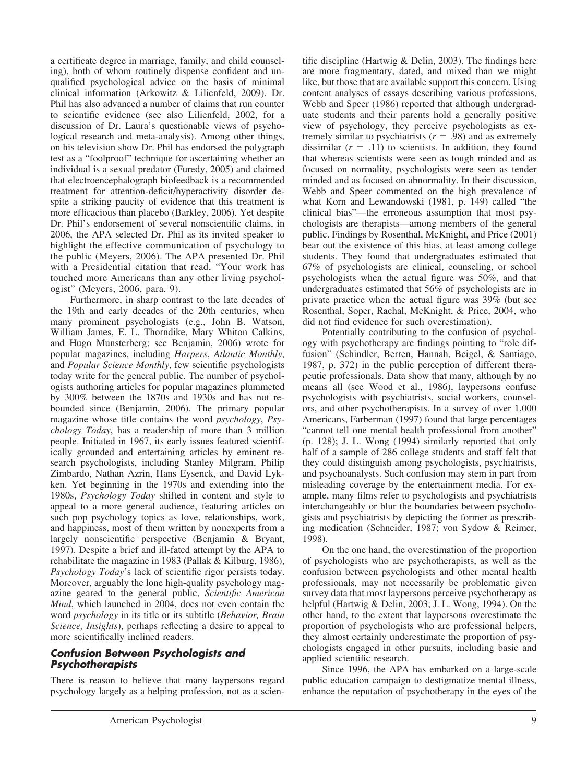a certificate degree in marriage, family, and child counseling), both of whom routinely dispense confident and unqualified psychological advice on the basis of minimal clinical information (Arkowitz & Lilienfeld, 2009). Dr. Phil has also advanced a number of claims that run counter to scientific evidence (see also Lilienfeld, 2002, for a discussion of Dr. Laura's questionable views of psychological research and meta-analysis). Among other things, on his television show Dr. Phil has endorsed the polygraph test as a "foolproof" technique for ascertaining whether an individual is a sexual predator (Furedy, 2005) and claimed that electroencephalograph biofeedback is a recommended treatment for attention-deficit/hyperactivity disorder despite a striking paucity of evidence that this treatment is more efficacious than placebo (Barkley, 2006). Yet despite Dr. Phil's endorsement of several nonscientific claims, in 2006, the APA selected Dr. Phil as its invited speaker to highlight the effective communication of psychology to the public (Meyers, 2006). The APA presented Dr. Phil with a Presidential citation that read, "Your work has touched more Americans than any other living psychologist" (Meyers, 2006, para. 9).

Furthermore, in sharp contrast to the late decades of the 19th and early decades of the 20th centuries, when many prominent psychologists (e.g., John B. Watson, William James, E. L. Thorndike, Mary Whiton Calkins, and Hugo Munsterberg; see Benjamin, 2006) wrote for popular magazines, including *Harpers*, *Atlantic Monthly*, and *Popular Science Monthly*, few scientific psychologists today write for the general public. The number of psychologists authoring articles for popular magazines plummeted by 300% between the 1870s and 1930s and has not rebounded since (Benjamin, 2006). The primary popular magazine whose title contains the word *psychology*, *Psychology Today*, has a readership of more than 3 million people. Initiated in 1967, its early issues featured scientifically grounded and entertaining articles by eminent research psychologists, including Stanley Milgram, Philip Zimbardo, Nathan Azrin, Hans Eysenck, and David Lykken. Yet beginning in the 1970s and extending into the 1980s, *Psychology Today* shifted in content and style to appeal to a more general audience, featuring articles on such pop psychology topics as love, relationships, work, and happiness, most of them written by nonexperts from a largely nonscientific perspective (Benjamin & Bryant, 1997). Despite a brief and ill-fated attempt by the APA to rehabilitate the magazine in 1983 (Pallak & Kilburg, 1986), *Psychology Today*'s lack of scientific rigor persists today. Moreover, arguably the lone high-quality psychology magazine geared to the general public, *Scientific American Mind*, which launched in 2004, does not even contain the word *psychology* in its title or its subtitle (*Behavior, Brain Science, Insights*), perhaps reflecting a desire to appeal to more scientifically inclined readers.

#### *Confusion Between Psychologists and Psychotherapists*

There is reason to believe that many laypersons regard psychology largely as a helping profession, not as a scien-

tific discipline (Hartwig & Delin, 2003). The findings here are more fragmentary, dated, and mixed than we might like, but those that are available support this concern. Using content analyses of essays describing various professions, Webb and Speer (1986) reported that although undergraduate students and their parents hold a generally positive view of psychology, they perceive psychologists as extremely similar to psychiatrists  $(r = .98)$  and as extremely dissimilar  $(r = .11)$  to scientists. In addition, they found that whereas scientists were seen as tough minded and as focused on normality, psychologists were seen as tender minded and as focused on abnormality. In their discussion, Webb and Speer commented on the high prevalence of what Korn and Lewandowski (1981, p. 149) called "the clinical bias"—the erroneous assumption that most psychologists are therapists—among members of the general public. Findings by Rosenthal, McKnight, and Price (2001) bear out the existence of this bias, at least among college students. They found that undergraduates estimated that 67% of psychologists are clinical, counseling, or school psychologists when the actual figure was 50%, and that undergraduates estimated that 56% of psychologists are in private practice when the actual figure was 39% (but see Rosenthal, Soper, Rachal, McKnight, & Price, 2004, who did not find evidence for such overestimation).

Potentially contributing to the confusion of psychology with psychotherapy are findings pointing to "role diffusion" (Schindler, Berren, Hannah, Beigel, & Santiago, 1987, p. 372) in the public perception of different therapeutic professionals. Data show that many, although by no means all (see Wood et al., 1986), laypersons confuse psychologists with psychiatrists, social workers, counselors, and other psychotherapists. In a survey of over 1,000 Americans, Farberman (1997) found that large percentages "cannot tell one mental health professional from another" (p. 128); J. L. Wong (1994) similarly reported that only half of a sample of 286 college students and staff felt that they could distinguish among psychologists, psychiatrists, and psychoanalysts. Such confusion may stem in part from misleading coverage by the entertainment media. For example, many films refer to psychologists and psychiatrists interchangeably or blur the boundaries between psychologists and psychiatrists by depicting the former as prescribing medication (Schneider, 1987; von Sydow & Reimer, 1998).

On the one hand, the overestimation of the proportion of psychologists who are psychotherapists, as well as the confusion between psychologists and other mental health professionals, may not necessarily be problematic given survey data that most laypersons perceive psychotherapy as helpful (Hartwig & Delin, 2003; J. L. Wong, 1994). On the other hand, to the extent that laypersons overestimate the proportion of psychologists who are professional helpers, they almost certainly underestimate the proportion of psychologists engaged in other pursuits, including basic and applied scientific research.

Since 1996, the APA has embarked on a large-scale public education campaign to destigmatize mental illness, enhance the reputation of psychotherapy in the eyes of the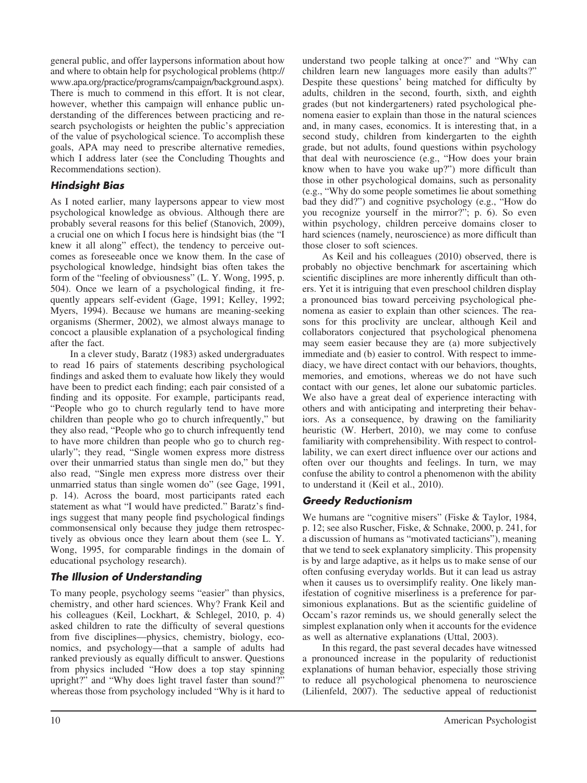general public, and offer laypersons information about how and where to obtain help for psychological problems (http:// www.apa.org/practice/programs/campaign/background.aspx). There is much to commend in this effort. It is not clear, however, whether this campaign will enhance public understanding of the differences between practicing and research psychologists or heighten the public's appreciation of the value of psychological science. To accomplish these goals, APA may need to prescribe alternative remedies, which I address later (see the Concluding Thoughts and Recommendations section).

### *Hindsight Bias*

As I noted earlier, many laypersons appear to view most psychological knowledge as obvious. Although there are probably several reasons for this belief (Stanovich, 2009), a crucial one on which I focus here is hindsight bias (the "I knew it all along" effect), the tendency to perceive outcomes as foreseeable once we know them. In the case of psychological knowledge, hindsight bias often takes the form of the "feeling of obviousness" (L. Y. Wong, 1995, p. 504). Once we learn of a psychological finding, it frequently appears self-evident (Gage, 1991; Kelley, 1992; Myers, 1994). Because we humans are meaning-seeking organisms (Shermer, 2002), we almost always manage to concoct a plausible explanation of a psychological finding after the fact.

In a clever study, Baratz (1983) asked undergraduates to read 16 pairs of statements describing psychological findings and asked them to evaluate how likely they would have been to predict each finding; each pair consisted of a finding and its opposite. For example, participants read, "People who go to church regularly tend to have more children than people who go to church infrequently," but they also read, "People who go to church infrequently tend to have more children than people who go to church regularly"; they read, "Single women express more distress over their unmarried status than single men do," but they also read, "Single men express more distress over their unmarried status than single women do" (see Gage, 1991, p. 14). Across the board, most participants rated each statement as what "I would have predicted." Baratz's findings suggest that many people find psychological findings commonsensical only because they judge them retrospectively as obvious once they learn about them (see L. Y. Wong, 1995, for comparable findings in the domain of educational psychology research).

### *The Illusion of Understanding*

To many people, psychology seems "easier" than physics, chemistry, and other hard sciences. Why? Frank Keil and his colleagues (Keil, Lockhart, & Schlegel, 2010, p. 4) asked children to rate the difficulty of several questions from five disciplines—physics, chemistry, biology, economics, and psychology—that a sample of adults had ranked previously as equally difficult to answer. Questions from physics included "How does a top stay spinning upright?" and "Why does light travel faster than sound?" whereas those from psychology included "Why is it hard to understand two people talking at once?" and "Why can children learn new languages more easily than adults?" Despite these questions' being matched for difficulty by adults, children in the second, fourth, sixth, and eighth grades (but not kindergarteners) rated psychological phenomena easier to explain than those in the natural sciences and, in many cases, economics. It is interesting that, in a second study, children from kindergarten to the eighth grade, but not adults, found questions within psychology that deal with neuroscience (e.g., "How does your brain know when to have you wake up?") more difficult than those in other psychological domains, such as personality (e.g., "Why do some people sometimes lie about something bad they did?") and cognitive psychology (e.g., "How do you recognize yourself in the mirror?"; p. 6). So even within psychology, children perceive domains closer to hard sciences (namely, neuroscience) as more difficult than those closer to soft sciences.

As Keil and his colleagues (2010) observed, there is probably no objective benchmark for ascertaining which scientific disciplines are more inherently difficult than others. Yet it is intriguing that even preschool children display a pronounced bias toward perceiving psychological phenomena as easier to explain than other sciences. The reasons for this proclivity are unclear, although Keil and collaborators conjectured that psychological phenomena may seem easier because they are (a) more subjectively immediate and (b) easier to control. With respect to immediacy, we have direct contact with our behaviors, thoughts, memories, and emotions, whereas we do not have such contact with our genes, let alone our subatomic particles. We also have a great deal of experience interacting with others and with anticipating and interpreting their behaviors. As a consequence, by drawing on the familiarity heuristic (W. Herbert, 2010), we may come to confuse familiarity with comprehensibility. With respect to controllability, we can exert direct influence over our actions and often over our thoughts and feelings. In turn, we may confuse the ability to control a phenomenon with the ability to understand it (Keil et al., 2010).

### *Greedy Reductionism*

We humans are "cognitive misers" (Fiske & Taylor, 1984, p. 12; see also Ruscher, Fiske, & Schnake, 2000, p. 241, for a discussion of humans as "motivated tacticians"), meaning that we tend to seek explanatory simplicity. This propensity is by and large adaptive, as it helps us to make sense of our often confusing everyday worlds. But it can lead us astray when it causes us to oversimplify reality. One likely manifestation of cognitive miserliness is a preference for parsimonious explanations. But as the scientific guideline of Occam's razor reminds us, we should generally select the simplest explanation only when it accounts for the evidence as well as alternative explanations (Uttal, 2003).

In this regard, the past several decades have witnessed a pronounced increase in the popularity of reductionist explanations of human behavior, especially those striving to reduce all psychological phenomena to neuroscience (Lilienfeld, 2007). The seductive appeal of reductionist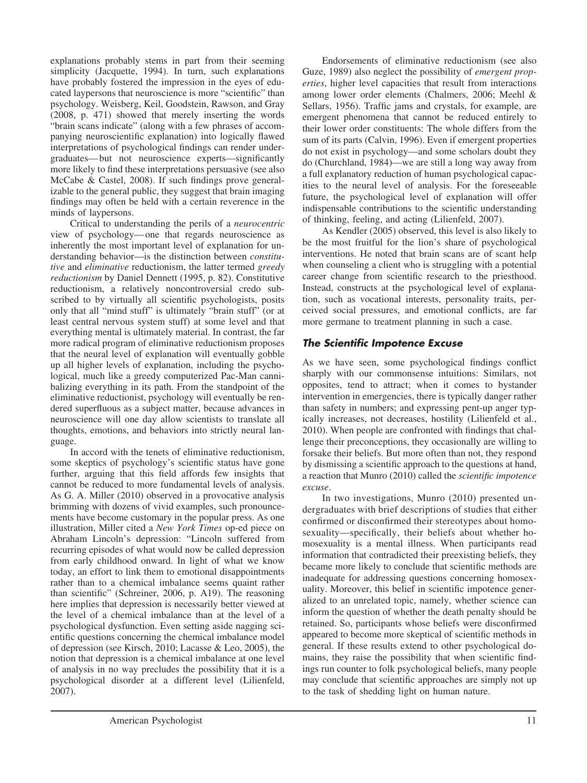explanations probably stems in part from their seeming simplicity (Jacquette, 1994). In turn, such explanations have probably fostered the impression in the eyes of educated laypersons that neuroscience is more "scientific" than psychology. Weisberg, Keil, Goodstein, Rawson, and Gray (2008, p. 471) showed that merely inserting the words "brain scans indicate" (along with a few phrases of accompanying neuroscientific explanation) into logically flawed interpretations of psychological findings can render undergraduates— but not neuroscience experts—significantly more likely to find these interpretations persuasive (see also McCabe & Castel, 2008). If such findings prove generalizable to the general public, they suggest that brain imaging findings may often be held with a certain reverence in the minds of laypersons.

Critical to understanding the perils of a *neurocentric* view of psychology— one that regards neuroscience as inherently the most important level of explanation for understanding behavior—is the distinction between *constitutive* and *eliminative* reductionism, the latter termed *greedy reductionism* by Daniel Dennett (1995, p. 82). Constitutive reductionism, a relatively noncontroversial credo subscribed to by virtually all scientific psychologists, posits only that all "mind stuff" is ultimately "brain stuff" (or at least central nervous system stuff) at some level and that everything mental is ultimately material. In contrast, the far more radical program of eliminative reductionism proposes that the neural level of explanation will eventually gobble up all higher levels of explanation, including the psychological, much like a greedy computerized Pac-Man cannibalizing everything in its path. From the standpoint of the eliminative reductionist, psychology will eventually be rendered superfluous as a subject matter, because advances in neuroscience will one day allow scientists to translate all thoughts, emotions, and behaviors into strictly neural language.

In accord with the tenets of eliminative reductionism, some skeptics of psychology's scientific status have gone further, arguing that this field affords few insights that cannot be reduced to more fundamental levels of analysis. As G. A. Miller (2010) observed in a provocative analysis brimming with dozens of vivid examples, such pronouncements have become customary in the popular press. As one illustration, Miller cited a *New York Times* op-ed piece on Abraham Lincoln's depression: "Lincoln suffered from recurring episodes of what would now be called depression from early childhood onward. In light of what we know today, an effort to link them to emotional disappointments rather than to a chemical imbalance seems quaint rather than scientific" (Schreiner, 2006, p. A19). The reasoning here implies that depression is necessarily better viewed at the level of a chemical imbalance than at the level of a psychological dysfunction. Even setting aside nagging scientific questions concerning the chemical imbalance model of depression (see Kirsch, 2010; Lacasse & Leo, 2005), the notion that depression is a chemical imbalance at one level of analysis in no way precludes the possibility that it is a psychological disorder at a different level (Lilienfeld, 2007).

Endorsements of eliminative reductionism (see also Guze, 1989) also neglect the possibility of *emergent properties*, higher level capacities that result from interactions among lower order elements (Chalmers, 2006; Meehl & Sellars, 1956). Traffic jams and crystals, for example, are emergent phenomena that cannot be reduced entirely to their lower order constituents: The whole differs from the sum of its parts (Calvin, 1996). Even if emergent properties do not exist in psychology—and some scholars doubt they do (Churchland, 1984)—we are still a long way away from a full explanatory reduction of human psychological capacities to the neural level of analysis. For the foreseeable future, the psychological level of explanation will offer indispensable contributions to the scientific understanding of thinking, feeling, and acting (Lilienfeld, 2007).

As Kendler (2005) observed, this level is also likely to be the most fruitful for the lion's share of psychological interventions. He noted that brain scans are of scant help when counseling a client who is struggling with a potential career change from scientific research to the priesthood. Instead, constructs at the psychological level of explanation, such as vocational interests, personality traits, perceived social pressures, and emotional conflicts, are far more germane to treatment planning in such a case.

### *The Scientific Impotence Excuse*

As we have seen, some psychological findings conflict sharply with our commonsense intuitions: Similars, not opposites, tend to attract; when it comes to bystander intervention in emergencies, there is typically danger rather than safety in numbers; and expressing pent-up anger typically increases, not decreases, hostility (Lilienfeld et al., 2010). When people are confronted with findings that challenge their preconceptions, they occasionally are willing to forsake their beliefs. But more often than not, they respond by dismissing a scientific approach to the questions at hand, a reaction that Munro (2010) called the *scientific impotence excuse*.

In two investigations, Munro (2010) presented undergraduates with brief descriptions of studies that either confirmed or disconfirmed their stereotypes about homosexuality—specifically, their beliefs about whether homosexuality is a mental illness. When participants read information that contradicted their preexisting beliefs, they became more likely to conclude that scientific methods are inadequate for addressing questions concerning homosexuality. Moreover, this belief in scientific impotence generalized to an unrelated topic, namely, whether science can inform the question of whether the death penalty should be retained. So, participants whose beliefs were disconfirmed appeared to become more skeptical of scientific methods in general. If these results extend to other psychological domains, they raise the possibility that when scientific findings run counter to folk psychological beliefs, many people may conclude that scientific approaches are simply not up to the task of shedding light on human nature.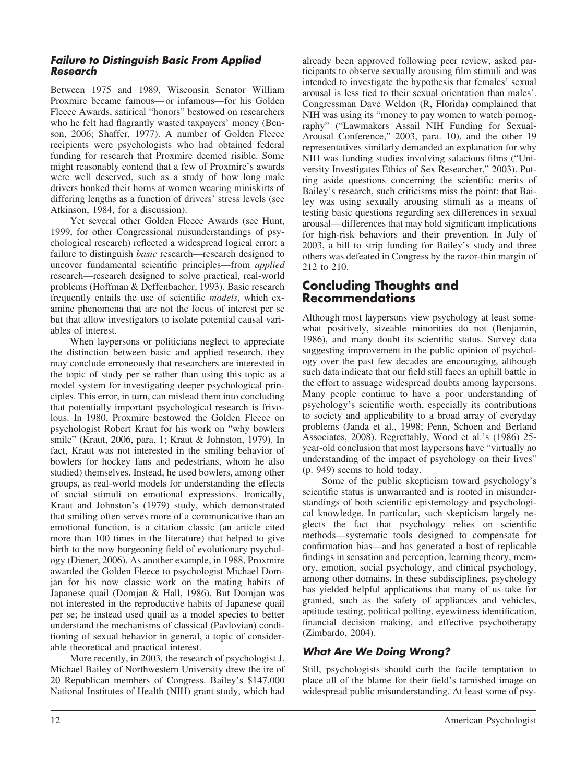#### *Failure to Distinguish Basic From Applied Research*

Between 1975 and 1989, Wisconsin Senator William Proxmire became famous— or infamous—for his Golden Fleece Awards, satirical "honors" bestowed on researchers who he felt had flagrantly wasted taxpayers' money (Benson, 2006; Shaffer, 1977). A number of Golden Fleece recipients were psychologists who had obtained federal funding for research that Proxmire deemed risible. Some might reasonably contend that a few of Proxmire's awards were well deserved, such as a study of how long male drivers honked their horns at women wearing miniskirts of differing lengths as a function of drivers' stress levels (see Atkinson, 1984, for a discussion).

Yet several other Golden Fleece Awards (see Hunt, 1999, for other Congressional misunderstandings of psychological research) reflected a widespread logical error: a failure to distinguish *basic* research—research designed to uncover fundamental scientific principles—from *applied* research—research designed to solve practical, real-world problems (Hoffman & Deffenbacher, 1993). Basic research frequently entails the use of scientific *models*, which examine phenomena that are not the focus of interest per se but that allow investigators to isolate potential causal variables of interest.

When laypersons or politicians neglect to appreciate the distinction between basic and applied research, they may conclude erroneously that researchers are interested in the topic of study per se rather than using this topic as a model system for investigating deeper psychological principles. This error, in turn, can mislead them into concluding that potentially important psychological research is frivolous. In 1980, Proxmire bestowed the Golden Fleece on psychologist Robert Kraut for his work on "why bowlers smile" (Kraut, 2006, para. 1; Kraut & Johnston, 1979). In fact, Kraut was not interested in the smiling behavior of bowlers (or hockey fans and pedestrians, whom he also studied) themselves. Instead, he used bowlers, among other groups, as real-world models for understanding the effects of social stimuli on emotional expressions. Ironically, Kraut and Johnston's (1979) study, which demonstrated that smiling often serves more of a communicative than an emotional function, is a citation classic (an article cited more than 100 times in the literature) that helped to give birth to the now burgeoning field of evolutionary psychology (Diener, 2006). As another example, in 1988, Proxmire awarded the Golden Fleece to psychologist Michael Domjan for his now classic work on the mating habits of Japanese quail (Domjan & Hall, 1986). But Domjan was not interested in the reproductive habits of Japanese quail per se; he instead used quail as a model species to better understand the mechanisms of classical (Pavlovian) conditioning of sexual behavior in general, a topic of considerable theoretical and practical interest.

More recently, in 2003, the research of psychologist J. Michael Bailey of Northwestern University drew the ire of 20 Republican members of Congress. Bailey's \$147,000 National Institutes of Health (NIH) grant study, which had

already been approved following peer review, asked participants to observe sexually arousing film stimuli and was intended to investigate the hypothesis that females' sexual arousal is less tied to their sexual orientation than males'. Congressman Dave Weldon (R, Florida) complained that NIH was using its "money to pay women to watch pornography" ("Lawmakers Assail NIH Funding for Sexual-Arousal Conference," 2003, para. 10), and the other 19 representatives similarly demanded an explanation for why NIH was funding studies involving salacious films ("University Investigates Ethics of Sex Researcher," 2003). Putting aside questions concerning the scientific merits of Bailey's research, such criticisms miss the point: that Bailey was using sexually arousing stimuli as a means of testing basic questions regarding sex differences in sexual arousal— differences that may hold significant implications for high-risk behaviors and their prevention. In July of 2003, a bill to strip funding for Bailey's study and three others was defeated in Congress by the razor-thin margin of 212 to 210.

## **Concluding Thoughts and Recommendations**

Although most laypersons view psychology at least somewhat positively, sizeable minorities do not (Benjamin, 1986), and many doubt its scientific status. Survey data suggesting improvement in the public opinion of psychology over the past few decades are encouraging, although such data indicate that our field still faces an uphill battle in the effort to assuage widespread doubts among laypersons. Many people continue to have a poor understanding of psychology's scientific worth, especially its contributions to society and applicability to a broad array of everyday problems (Janda et al., 1998; Penn, Schoen and Berland Associates, 2008). Regrettably, Wood et al.'s (1986) 25 year-old conclusion that most laypersons have "virtually no understanding of the impact of psychology on their lives" (p. 949) seems to hold today.

Some of the public skepticism toward psychology's scientific status is unwarranted and is rooted in misunderstandings of both scientific epistemology and psychological knowledge. In particular, such skepticism largely neglects the fact that psychology relies on scientific methods—systematic tools designed to compensate for confirmation bias—and has generated a host of replicable findings in sensation and perception, learning theory, memory, emotion, social psychology, and clinical psychology, among other domains. In these subdisciplines, psychology has yielded helpful applications that many of us take for granted, such as the safety of appliances and vehicles, aptitude testing, political polling, eyewitness identification, financial decision making, and effective psychotherapy (Zimbardo, 2004).

## *What Are We Doing Wrong?*

Still, psychologists should curb the facile temptation to place all of the blame for their field's tarnished image on widespread public misunderstanding. At least some of psy-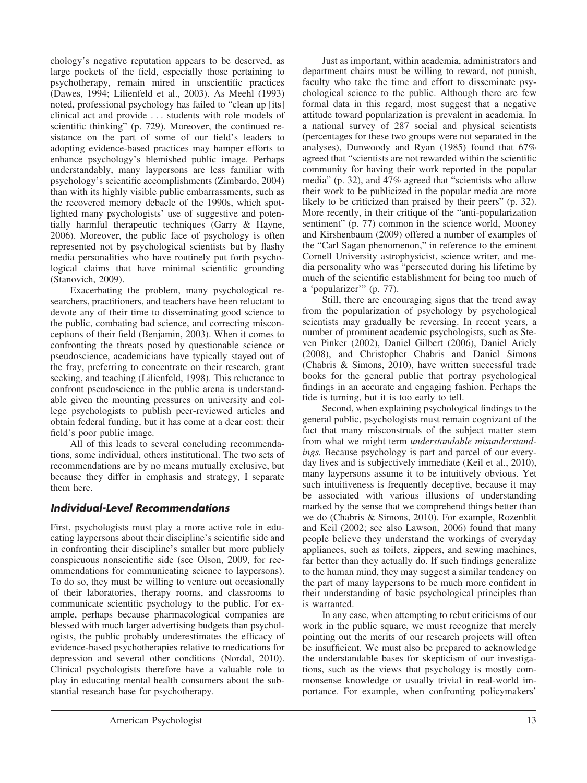chology's negative reputation appears to be deserved, as large pockets of the field, especially those pertaining to psychotherapy, remain mired in unscientific practices (Dawes, 1994; Lilienfeld et al., 2003). As Meehl (1993) noted, professional psychology has failed to "clean up [its] clinical act and provide . . . students with role models of scientific thinking" (p. 729). Moreover, the continued resistance on the part of some of our field's leaders to adopting evidence-based practices may hamper efforts to enhance psychology's blemished public image. Perhaps understandably, many laypersons are less familiar with psychology's scientific accomplishments (Zimbardo, 2004) than with its highly visible public embarrassments, such as the recovered memory debacle of the 1990s, which spotlighted many psychologists' use of suggestive and potentially harmful therapeutic techniques (Garry & Hayne, 2006). Moreover, the public face of psychology is often represented not by psychological scientists but by flashy media personalities who have routinely put forth psychological claims that have minimal scientific grounding (Stanovich, 2009).

Exacerbating the problem, many psychological researchers, practitioners, and teachers have been reluctant to devote any of their time to disseminating good science to the public, combating bad science, and correcting misconceptions of their field (Benjamin, 2003). When it comes to confronting the threats posed by questionable science or pseudoscience, academicians have typically stayed out of the fray, preferring to concentrate on their research, grant seeking, and teaching (Lilienfeld, 1998). This reluctance to confront pseudoscience in the public arena is understandable given the mounting pressures on university and college psychologists to publish peer-reviewed articles and obtain federal funding, but it has come at a dear cost: their field's poor public image.

All of this leads to several concluding recommendations, some individual, others institutional. The two sets of recommendations are by no means mutually exclusive, but because they differ in emphasis and strategy, I separate them here.

### *Individual-Level Recommendations*

First, psychologists must play a more active role in educating laypersons about their discipline's scientific side and in confronting their discipline's smaller but more publicly conspicuous nonscientific side (see Olson, 2009, for recommendations for communicating science to laypersons). To do so, they must be willing to venture out occasionally of their laboratories, therapy rooms, and classrooms to communicate scientific psychology to the public. For example, perhaps because pharmacological companies are blessed with much larger advertising budgets than psychologists, the public probably underestimates the efficacy of evidence-based psychotherapies relative to medications for depression and several other conditions (Nordal, 2010). Clinical psychologists therefore have a valuable role to play in educating mental health consumers about the substantial research base for psychotherapy.

Just as important, within academia, administrators and department chairs must be willing to reward, not punish, faculty who take the time and effort to disseminate psychological science to the public. Although there are few formal data in this regard, most suggest that a negative attitude toward popularization is prevalent in academia. In a national survey of 287 social and physical scientists (percentages for these two groups were not separated in the analyses), Dunwoody and Ryan (1985) found that 67% agreed that "scientists are not rewarded within the scientific community for having their work reported in the popular media" (p. 32), and 47% agreed that "scientists who allow their work to be publicized in the popular media are more likely to be criticized than praised by their peers" (p. 32). More recently, in their critique of the "anti-popularization sentiment" (p. 77) common in the science world, Mooney and Kirshenbaum (2009) offered a number of examples of the "Carl Sagan phenomenon," in reference to the eminent Cornell University astrophysicist, science writer, and media personality who was "persecuted during his lifetime by much of the scientific establishment for being too much of a 'popularizer'" (p. 77).

Still, there are encouraging signs that the trend away from the popularization of psychology by psychological scientists may gradually be reversing. In recent years, a number of prominent academic psychologists, such as Steven Pinker (2002), Daniel Gilbert (2006), Daniel Ariely (2008), and Christopher Chabris and Daniel Simons (Chabris & Simons, 2010), have written successful trade books for the general public that portray psychological findings in an accurate and engaging fashion. Perhaps the tide is turning, but it is too early to tell.

Second, when explaining psychological findings to the general public, psychologists must remain cognizant of the fact that many misconstruals of the subject matter stem from what we might term *understandable misunderstandings.* Because psychology is part and parcel of our everyday lives and is subjectively immediate (Keil et al., 2010), many laypersons assume it to be intuitively obvious. Yet such intuitiveness is frequently deceptive, because it may be associated with various illusions of understanding marked by the sense that we comprehend things better than we do (Chabris & Simons, 2010). For example, Rozenblit and Keil (2002; see also Lawson, 2006) found that many people believe they understand the workings of everyday appliances, such as toilets, zippers, and sewing machines, far better than they actually do. If such findings generalize to the human mind, they may suggest a similar tendency on the part of many laypersons to be much more confident in their understanding of basic psychological principles than is warranted.

In any case, when attempting to rebut criticisms of our work in the public square, we must recognize that merely pointing out the merits of our research projects will often be insufficient. We must also be prepared to acknowledge the understandable bases for skepticism of our investigations, such as the views that psychology is mostly commonsense knowledge or usually trivial in real-world importance. For example, when confronting policymakers'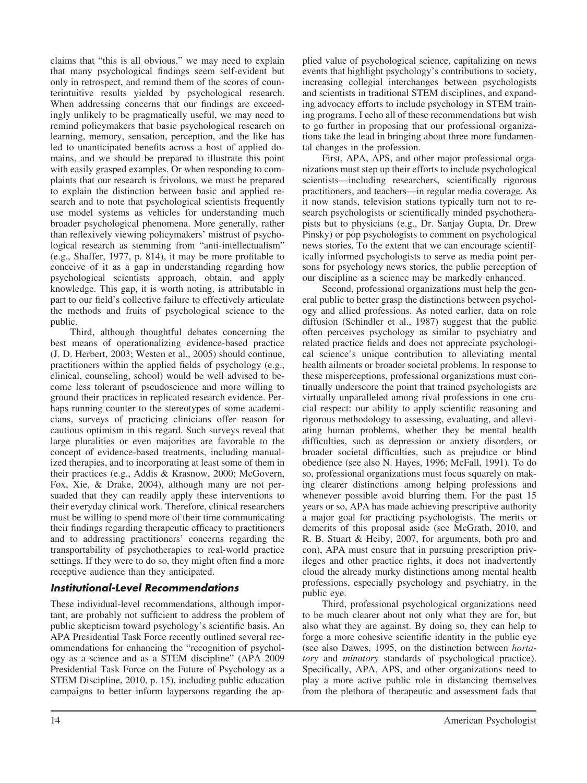claims that "this is all obvious," we may need to explain that many psychological findings seem self-evident but only in retrospect, and remind them of the scores of counterintuitive results yielded by psychological research. When addressing concerns that our findings are exceedingly unlikely to be pragmatically useful, we may need to remind policymakers that basic psychological research on learning, memory, sensation, perception, and the like has led to unanticipated benefits across a host of applied domains, and we should be prepared to illustrate this point with easily grasped examples. Or when responding to complaints that our research is frivolous, we must be prepared to explain the distinction between basic and applied research and to note that psychological scientists frequently use model systems as vehicles for understanding much broader psychological phenomena. More generally, rather than reflexively viewing policymakers' mistrust of psychological research as stemming from "anti-intellectualism" (e.g., Shaffer, 1977, p. 814), it may be more profitable to conceive of it as a gap in understanding regarding how psychological scientists approach, obtain, and apply knowledge. This gap, it is worth noting, is attributable in part to our field's collective failure to effectively articulate the methods and fruits of psychological science to the public.

Third, although thoughtful debates concerning the best means of operationalizing evidence-based practice (J. D. Herbert, 2003; Westen et al., 2005) should continue, practitioners within the applied fields of psychology (e.g., clinical, counseling, school) would be well advised to become less tolerant of pseudoscience and more willing to ground their practices in replicated research evidence. Perhaps running counter to the stereotypes of some academicians, surveys of practicing clinicians offer reason for cautious optimism in this regard. Such surveys reveal that large pluralities or even majorities are favorable to the concept of evidence-based treatments, including manualized therapies, and to incorporating at least some of them in their practices (e.g., Addis & Krasnow, 2000; McGovern, Fox, Xie, & Drake, 2004), although many are not persuaded that they can readily apply these interventions to their everyday clinical work. Therefore, clinical researchers must be willing to spend more of their time communicating their findings regarding therapeutic efficacy to practitioners and to addressing practitioners' concerns regarding the transportability of psychotherapies to real-world practice settings. If they were to do so, they might often find a more receptive audience than they anticipated.

#### *Institutional-Level Recommendations*

These individual-level recommendations, although important, are probably not sufficient to address the problem of public skepticism toward psychology's scientific basis. An APA Presidential Task Force recently outlined several recommendations for enhancing the "recognition of psychology as a science and as a STEM discipline" (APA 2009 Presidential Task Force on the Future of Psychology as a STEM Discipline, 2010, p. 15), including public education campaigns to better inform laypersons regarding the applied value of psychological science, capitalizing on news events that highlight psychology's contributions to society, increasing collegial interchanges between psychologists and scientists in traditional STEM disciplines, and expanding advocacy efforts to include psychology in STEM training programs. I echo all of these recommendations but wish to go further in proposing that our professional organizations take the lead in bringing about three more fundamental changes in the profession.

First, APA, APS, and other major professional organizations must step up their efforts to include psychological scientists—including researchers, scientifically rigorous practitioners, and teachers—in regular media coverage. As it now stands, television stations typically turn not to research psychologists or scientifically minded psychotherapists but to physicians (e.g., Dr. Sanjay Gupta, Dr. Drew Pinsky) or pop psychologists to comment on psychological news stories. To the extent that we can encourage scientifically informed psychologists to serve as media point persons for psychology news stories, the public perception of our discipline as a science may be markedly enhanced.

Second, professional organizations must help the general public to better grasp the distinctions between psychology and allied professions. As noted earlier, data on role diffusion (Schindler et al., 1987) suggest that the public often perceives psychology as similar to psychiatry and related practice fields and does not appreciate psychological science's unique contribution to alleviating mental health ailments or broader societal problems. In response to these misperceptions, professional organizations must continually underscore the point that trained psychologists are virtually unparalleled among rival professions in one crucial respect: our ability to apply scientific reasoning and rigorous methodology to assessing, evaluating, and alleviating human problems, whether they be mental health difficulties, such as depression or anxiety disorders, or broader societal difficulties, such as prejudice or blind obedience (see also N. Hayes, 1996; McFall, 1991). To do so, professional organizations must focus squarely on making clearer distinctions among helping professions and whenever possible avoid blurring them. For the past 15 years or so, APA has made achieving prescriptive authority a major goal for practicing psychologists. The merits or demerits of this proposal aside (see McGrath, 2010, and R. B. Stuart & Heiby, 2007, for arguments, both pro and con), APA must ensure that in pursuing prescription privileges and other practice rights, it does not inadvertently cloud the already murky distinctions among mental health professions, especially psychology and psychiatry, in the public eye.

Third, professional psychological organizations need to be much clearer about not only what they are for, but also what they are against. By doing so, they can help to forge a more cohesive scientific identity in the public eye (see also Dawes, 1995, on the distinction between *hortatory* and *minatory* standards of psychological practice). Specifically, APA, APS, and other organizations need to play a more active public role in distancing themselves from the plethora of therapeutic and assessment fads that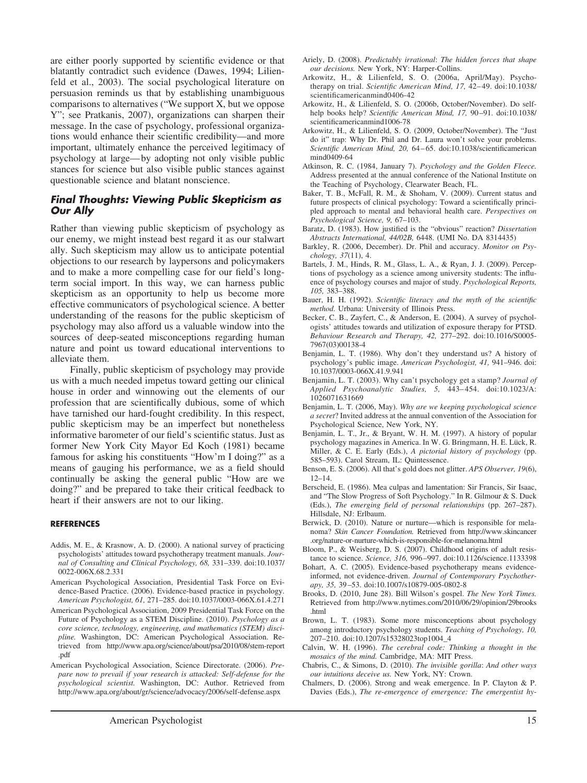are either poorly supported by scientific evidence or that blatantly contradict such evidence (Dawes, 1994; Lilienfeld et al., 2003). The social psychological literature on persuasion reminds us that by establishing unambiguous comparisons to alternatives ("We support X, but we oppose Y"; see Pratkanis, 2007), organizations can sharpen their message. In the case of psychology, professional organizations would enhance their scientific credibility—and more important, ultimately enhance the perceived legitimacy of psychology at large— by adopting not only visible public stances for science but also visible public stances against questionable science and blatant nonscience.

#### *Final Thoughts: Viewing Public Skepticism as Our Ally*

Rather than viewing public skepticism of psychology as our enemy, we might instead best regard it as our stalwart ally. Such skepticism may allow us to anticipate potential objections to our research by laypersons and policymakers and to make a more compelling case for our field's longterm social import. In this way, we can harness public skepticism as an opportunity to help us become more effective communicators of psychological science. A better understanding of the reasons for the public skepticism of psychology may also afford us a valuable window into the sources of deep-seated misconceptions regarding human nature and point us toward educational interventions to alleviate them.

Finally, public skepticism of psychology may provide us with a much needed impetus toward getting our clinical house in order and winnowing out the elements of our profession that are scientifically dubious, some of which have tarnished our hard-fought credibility. In this respect, public skepticism may be an imperfect but nonetheless informative barometer of our field's scientific status. Just as former New York City Mayor Ed Koch (1981) became famous for asking his constituents "How'm I doing?" as a means of gauging his performance, we as a field should continually be asking the general public "How are we doing?" and be prepared to take their critical feedback to heart if their answers are not to our liking.

#### **REFERENCES**

- Addis, M. E., & Krasnow, A. D. (2000). A national survey of practicing psychologists' attitudes toward psychotherapy treatment manuals. *Journal of Consulting and Clinical Psychology, 68,* 331–339. doi:10.1037/ 0022-006X.68.2.331
- American Psychological Association, Presidential Task Force on Evidence-Based Practice. (2006). Evidence-based practice in psychology. *American Psychologist, 61,* 271–285. doi:10.1037/0003-066X.61.4.271
- American Psychological Association, 2009 Presidential Task Force on the Future of Psychology as a STEM Discipline. (2010). *Psychology as a core science, technology, engineering, and mathematics (STEM) discipline.* Washington, DC: American Psychological Association. Retrieved from http://www.apa.org/science/about/psa/2010/08/stem-report .pdf
- American Psychological Association, Science Directorate. (2006). *Prepare now to prevail if your research is attacked: Self-defense for the psychological scientist.* Washington, DC: Author. Retrieved from http://www.apa.org/about/gr/science/advocacy/2006/self-defense.aspx
- Ariely, D. (2008). *Predictably irrational*: *The hidden forces that shape our decisions.* New York, NY: Harper-Collins.
- Arkowitz, H., & Lilienfeld, S. O. (2006a, April/May). Psychotherapy on trial. *Scientific American Mind, 17,* 42– 49. doi:10.1038/ scientificamericanmind0406-42
- Arkowitz, H., & Lilienfeld, S. O. (2006b, October/November). Do selfhelp books help? *Scientific American Mind, 17,* 90 –91. doi:10.1038/ scientificamericanmind1006-78
- Arkowitz, H., & Lilienfeld, S. O. (2009, October/November). The "Just do it" trap: Why Dr. Phil and Dr. Laura won't solve your problems. *Scientific American Mind, 20,* 64 – 65. doi:10.1038/scientificamerican mind0409-64
- Atkinson, R. C. (1984, January 7). *Psychology and the Golden Fleece.* Address presented at the annual conference of the National Institute on the Teaching of Psychology, Clearwater Beach, FL.
- Baker, T. B., McFall, R. M., & Shoham, V. (2009). Current status and future prospects of clinical psychology: Toward a scientifically principled approach to mental and behavioral health care. *Perspectives on Psychological Science, 9,* 67–103.
- Baratz, D. (1983). How justified is the "obvious" reaction? *Dissertation Abstracts International, 44/02B,* 6448. (UMI No. DA 8314435)
- Barkley, R. (2006, December). Dr. Phil and accuracy. *Monitor on Psychology, 37*(11), 4.
- Bartels, J. M., Hinds, R. M., Glass, L. A., & Ryan, J. J. (2009). Perceptions of psychology as a science among university students: The influence of psychology courses and major of study. *Psychological Reports, 105,* 383–388.
- Bauer, H. H. (1992). *Scientific literacy and the myth of the scientific method.* Urbana: University of Illinois Press.
- Becker, C. B., Zayfert, C., & Anderson, E. (2004). A survey of psychologists' attitudes towards and utilization of exposure therapy for PTSD. *Behaviour Research and Therapy, 42,* 277–292. doi:10.1016/S0005- 7967(03)00138-4
- Benjamin, L. T. (1986). Why don't they understand us? A history of psychology's public image. *American Psychologist, 41,* 941–946. doi: 10.1037/0003-066X.41.9.941
- Benjamin, L. T. (2003). Why can't psychology get a stamp? *Journal of Applied Psychoanalytic Studies, 5,* 443– 454. doi:10.1023/A: 1026071631669
- Benjamin, L. T. (2006, May). *Why are we keeping psychological science a secret*? Invited address at the annual convention of the Association for Psychological Science, New York, NY.
- Benjamin, L. T., Jr., & Bryant, W. H. M. (1997). A history of popular psychology magazines in America. In W. G. Bringmann, H. E. Lück, R. Miller, & C. E. Early (Eds.), *A pictorial history of psychology* (pp. 585–593). Carol Stream, IL: Quintessence.
- Benson, E. S. (2006). All that's gold does not glitter. *APS Observer, 19*(6),  $12 - 14$
- Berscheid, E. (1986). Mea culpas and lamentation: Sir Francis, Sir Isaac, and "The Slow Progress of Soft Psychology." In R. Gilmour & S. Duck (Eds.), *The emerging field of personal relationships* (pp. 267–287). Hillsdale, NJ: Erlbaum.
- Berwick, D. (2010). Nature or nurture—which is responsible for melanoma? *Skin Cancer Foundation.* Retrieved from http://www.skincancer .org/nature-or-nurture-which-is-responsible-for-melanoma.html
- Bloom, P., & Weisberg, D. S. (2007). Childhood origins of adult resistance to science. *Science, 316,* 996 –997. doi:10.1126/science.1133398
- Bohart, A. C. (2005). Evidence-based psychotherapy means evidenceinformed, not evidence-driven. *Journal of Contemporary Psychotherapy, 35,* 39 –53. doi:10.1007/s10879-005-0802-8
- Brooks, D. (2010, June 28). Bill Wilson's gospel. *The New York Times.* Retrieved from http://www.nytimes.com/2010/06/29/opinion/29brooks .html
- Brown, L. T. (1983). Some more misconceptions about psychology among introductory psychology students. *Teaching of Psychology, 10,* 207–210. doi:10.1207/s15328023top1004\_4
- Calvin, W. H. (1996). *The cerebral code: Thinking a thought in the mosaics of the mind.* Cambridge, MA: MIT Press.
- Chabris, C., & Simons, D. (2010). *The invisible gorilla*: *And other ways our intuitions deceive us.* New York, NY: Crown.
- Chalmers, D. (2006). Strong and weak emergence. In P. Clayton & P. Davies (Eds.), *The re-emergence of emergence: The emergentist hy-*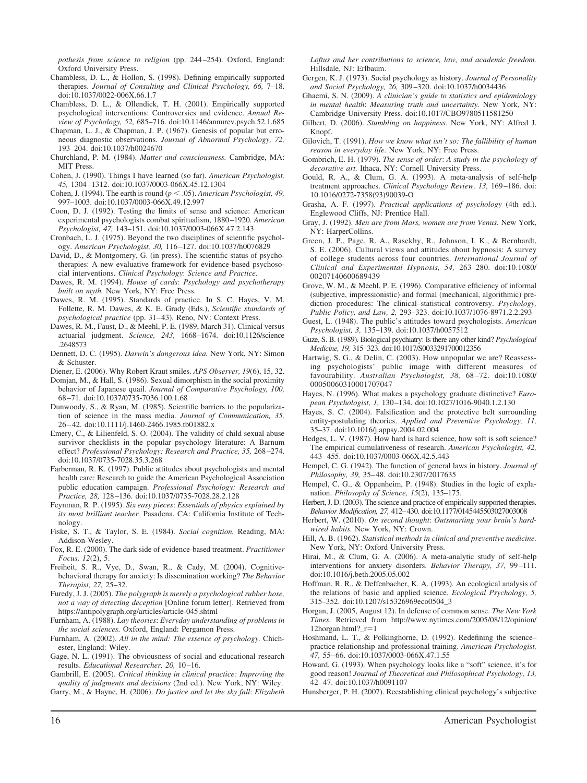*pothesis from science to religion* (pp. 244 –254). Oxford, England: Oxford University Press.

- Chambless, D. L., & Hollon, S. (1998). Defining empirically supported therapies. *Journal of Consulting and Clinical Psychology, 66,* 7–18. doi:10.1037/0022-006X.66.1.7
- Chambless, D. L., & Ollendick, T. H. (2001). Empirically supported psychological interventions: Controversies and evidence. *Annual Review of Psychology, 52,* 685–716. doi:10.1146/annurev.psych.52.1.685
- Chapman, L. J., & Chapman, J. P. (1967). Genesis of popular but erroneous diagnostic observations. *Journal of Abnormal Psychology, 72,* 193–204. doi:10.1037/h0024670
- Churchland, P. M. (1984). *Matter and consciousness.* Cambridge, MA: MIT Press.
- Cohen, J. (1990). Things I have learned (so far). *American Psychologist, 45,* 1304 –1312. doi:10.1037/0003-066X.45.12.1304
- Cohen, J. (1994). The earth is round ( $p < .05$ ). *American Psychologist*, 49, 997–1003. doi:10.1037/0003-066X.49.12.997
- Coon, D. J. (1992). Testing the limits of sense and science: American experimental psychologists combat spiritualism, 1880 –1920. *American Psychologist, 47,* 143–151. doi:10.1037/0003-066X.47.2.143
- Cronbach, L. J. (1975). Beyond the two disciplines of scientific psychology. *American Psychologist, 30,* 116 –127. doi:10.1037/h0076829
- David, D., & Montgomery, G. (in press). The scientific status of psychotherapies: A new evaluative framework for evidence-based psychosocial interventions. *Clinical Psychology*: *Science and Practice.*
- Dawes, R. M. (1994). *House of cards*: *Psychology and psychotherapy built on myth.* New York, NY: Free Press.
- Dawes, R. M. (1995). Standards of practice. In S. C. Hayes, V. M. Follette, R. M. Dawes, & K. E. Grady (Eds.), *Scientific standards of psychological practice* (pp. 31-43). Reno, NV: Context Press.
- Dawes, R. M., Faust, D., & Meehl, P. E. (1989, March 31). Clinical versus actuarial judgment. *Science, 243,* 1668 –1674. doi:10.1126/science .2648573
- Dennett, D. C. (1995). *Darwin's dangerous idea.* New York, NY: Simon & Schuster.
- Diener, E. (2006). Why Robert Kraut smiles. *APS Observer, 19*(6), 15, 32.
- Domjan, M., & Hall, S. (1986). Sexual dimorphism in the social proximity behavior of Japanese quail. *Journal of Comparative Psychology, 100,* 68 –71. doi:10.1037/0735-7036.100.1.68
- Dunwoody, S., & Ryan, M. (1985). Scientific barriers to the popularization of science in the mass media. *Journal of Communication, 35,* 26 – 42. doi:10.1111/j.1460-2466.1985.tb01882.x
- Emery, C., & Lilienfeld, S. O. (2004). The validity of child sexual abuse survivor checklists in the popular psychology literature: A Barnum effect? *Professional Psychology: Research and Practice, 35,* 268 –274. doi:10.1037/0735-7028.35.3.268
- Farberman, R. K. (1997). Public attitudes about psychologists and mental health care: Research to guide the American Psychological Association public education campaign. *Professional Psychology: Research and Practice, 28,* 128 –136. doi:10.1037/0735-7028.28.2.128
- Feynman, R. P. (1995). *Six easy pieces*: *Essentials of physics explained by its most brilliant teacher.* Pasadena, CA: California Institute of Technology.
- Fiske, S. T., & Taylor, S. E. (1984). *Social cognition.* Reading, MA: Addison-Wesley.
- Fox, R. E. (2000). The dark side of evidence-based treatment. *Practitioner Focus, 12*(2), 5.
- Freiheit, S. R., Vye, D., Swan, R., & Cady, M. (2004). Cognitivebehavioral therapy for anxiety: Is dissemination working? *The Behavior Therapist, 27,* 25–32.
- Furedy, J. J. (2005). *The polygraph is merely a psychological rubber hose, not a way of detecting deception* [Online forum letter]. Retrieved from https://antipolygraph.org/articles/article-045.shtml
- Furnham, A. (1988). *Lay theories*: *Everyday understanding of problems in the social sciences.* Oxford, England: Pergamon Press.
- Furnham, A. (2002). *All in the mind: The essence of psychology.* Chichester, England: Wiley.
- Gage, N. L. (1991). The obviousness of social and educational research results. *Educational Researcher, 20,* 10 –16.
- Gambrill, E. (2005). *Critical thinking in clinical practice: Improving the quality of judgments and decisions* (2nd ed.). New York, NY: Wiley.
- Garry, M., & Hayne, H. (2006). *Do justice and let the sky fall*: *Elizabeth*

*Loftus and her contributions to science, law, and academic freedom.* Hillsdale, NJ: Erlbaum.

- Gergen, K. J. (1973). Social psychology as history. *Journal of Personality and Social Psychology, 26,* 309 –320. doi:10.1037/h0034436
- Ghaemi, S. N. (2009). *A clinician's guide to statistics and epidemiology in mental health*: *Measuring truth and uncertainty.* New York, NY: Cambridge University Press. doi:10.1017/CBO9780511581250
- Gilbert, D. (2006). *Stumbling on happiness.* New York, NY: Alfred J. Knopf.
- Gilovich, T. (1991). *How we know what isn't so: The fallibility of human reason in everyday life.* New York, NY: Free Press.
- Gombrich, E. H. (1979). *The sense of order*: *A study in the psychology of decorative art.* Ithaca, NY: Cornell University Press.
- Gould, R. A., & Clum, G. A. (1993). A meta-analysis of self-help treatment approaches. *Clinical Psychology Review, 13,* 169 –186. doi: 10.1016/0272-7358(93)90039-O
- Grasha, A. F. (1997). *Practical applications of psychology* (4th ed.). Englewood Cliffs, NJ: Prentice Hall.
- Gray, J. (1992). *Men are from Mars, women are from Venus.* New York, NY: HarperCollins.
- Green, J. P., Page, R. A., Rasekhy, R., Johnson, I. K., & Bernhardt, S. E. (2006). Cultural views and attitudes about hypnosis: A survey of college students across four countries. *International Journal of Clinical and Experimental Hypnosis, 54,* 263–280. doi:10.1080/ 00207140600689439
- Grove, W. M., & Meehl, P. E. (1996). Comparative efficiency of informal (subjective, impressionistic) and formal (mechanical, algorithmic) prediction procedures: The clinical–statistical controversy. *Psychology, Public Policy, and Law, 2,* 293–323. doi:10.1037/1076-8971.2.2.293
- Guest, L. (1948). The public's attitudes toward psychologists. *American Psychologist, 3,* 135–139. doi:10.1037/h0057512
- Guze, S. B. (1989). Biological psychiatry: Is there any other kind? *Psychological Medicine, 19,* 315–323. doi:10.1017/S0033291700012356
- Hartwig, S. G., & Delin, C. (2003). How unpopular we are? Reassessing psychologists' public image with different measures of favourability. *Australian Psychologist, 38,* 68 –72. doi:10.1080/ 00050060310001707047
- Hayes, N. (1996). What makes a psychology graduate distinctive? *European Psychologist, 1,* 130 –134. doi:10.1027/1016-9040.1.2.130
- Hayes, S. C. (2004). Falsification and the protective belt surrounding entity-postulating theories. *Applied and Preventive Psychology, 11,* 35–37. doi:10.1016/j.appsy.2004.02.004
- Hedges, L. V. (1987). How hard is hard science, how soft is soft science? The empirical cumulativeness of research. *American Psychologist, 42,* 443– 455. doi:10.1037/0003-066X.42.5.443
- Hempel, C. G. (1942). The function of general laws in history. *Journal of Philosophy, 39,* 35– 48. doi:10.2307/2017635
- Hempel, C. G., & Oppenheim, P. (1948). Studies in the logic of explanation. *Philosophy of Science, 15*(2), 135–175.
- Herbert, J. D. (2003). The science and practice of empirically supported therapies. *Behavior Modification, 27,* 412–430. doi:10.1177/0145445503027003008
- Herbert, W. (2010). *On second thought*: *Outsmarting your brain's hardwired habits.* New York, NY: Crown.
- Hill, A. B. (1962). *Statistical methods in clinical and preventive medicine.* New York, NY: Oxford University Press.
- Hirai, M., & Clum, G. A. (2006). A meta-analytic study of self-help interventions for anxiety disorders. *Behavior Therapy, 37,* 99 –111. doi:10.1016/j.beth.2005.05.002
- Hoffman, R. R., & Deffenbacher, K. A. (1993). An ecological analysis of the relations of basic and applied science. *Ecological Psychology, 5,* 315–352. doi:10.1207/s15326969eco0504\_3
- Horgan, J. (2005, August 12). In defense of common sense. *The New York Times*. Retrieved from http://www.nytimes.com/2005/08/12/opinion/  $12$ horgan.html?\_r=1
- Hoshmand, L. T., & Polkinghorne, D. (1992). Redefining the science– practice relationship and professional training. *American Psychologist, 47,* 55– 66. doi:10.1037/0003-066X.47.1.55
- Howard, G. (1993). When psychology looks like a "soft" science, it's for good reason! *Journal of Theoretical and Philosophical Psychology, 13,* 42– 47. doi:10.1037/h0091107
- Hunsberger, P. H. (2007). Reestablishing clinical psychology's subjective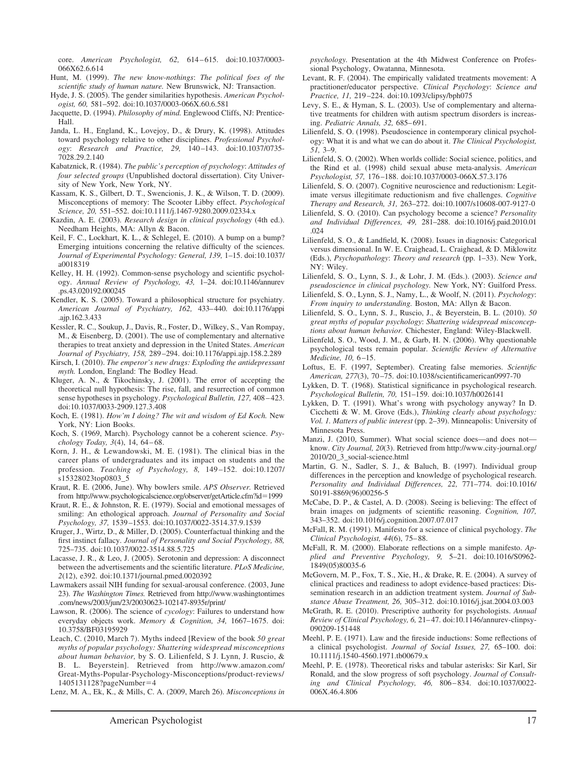core. *American Psychologist, 62,* 614 – 615. doi:10.1037/0003- 066X62.6.614

- Hunt, M. (1999). *The new know-nothings*: *The political foes of the scientific study of human nature.* New Brunswick, NJ: Transaction.
- Hyde, J. S. (2005). The gender similarities hypothesis. *American Psychologist, 60,* 581–592. doi:10.1037/0003-066X.60.6.581
- Jacquette, D. (1994). *Philosophy of mind.* Englewood Cliffs, NJ: Prentice-Hall.
- Janda, L. H., England, K., Lovejoy, D., & Drury, K. (1998). Attitudes toward psychology relative to other disciplines. *Professional Psychology*: *Research and Practice, 29,* 140 –143. doi:10.1037/0735- 7028.29.2.140
- Kabatznick, R. (1984). *The public's perception of psychology*: *Attitudes of four selected groups* (Unpublished doctoral dissertation). City University of New York, New York, NY.
- Kassam, K. S., Gilbert, D. T., Swencionis, J. K., & Wilson, T. D. (2009). Misconceptions of memory: The Scooter Libby effect. *Psychological Science, 20,* 551–552. doi:10.1111/j.1467-9280.2009.02334.x
- Kazdin, A. E. (2003). *Research design in clinical psychology* (4th ed.). Needham Heights, MA: Allyn & Bacon.
- Keil, F. C., Lockhart, K. L., & Schlegel, E. (2010). A bump on a bump? Emerging intuitions concerning the relative difficulty of the sciences. *Journal of Experimental Psychology: General, 139,* 1–15. doi:10.1037/ a0018319
- Kelley, H. H. (1992). Common-sense psychology and scientific psychology. *Annual Review of Psychology, 43,* 1–24. doi:10.1146/annurev .ps.43.020192.000245
- Kendler, K. S. (2005). Toward a philosophical structure for psychiatry. *American Journal of Psychiatry, 162,* 433– 440. doi:10.1176/appi .ajp.162.3.433
- Kessler, R. C., Soukup, J., Davis, R., Foster, D., Wilkey, S., Van Rompay, M., & Eisenberg, D. (2001). The use of complementary and alternative therapies to treat anxiety and depression in the United States. *American Journal of Psychiatry, 158,* 289 –294. doi:10.1176/appi.ajp.158.2.289
- Kirsch, I. (2010). *The emperor's new drugs: Exploding the antidepressant myth.* London, England: The Bodley Head.
- Kluger, A. N., & Tikochinsky, J. (2001). The error of accepting the theoretical null hypothesis: The rise, fall, and resurrection of common sense hypotheses in psychology. *Psychological Bulletin, 127, 408–423*. doi:10.1037/0033-2909.127.3.408
- Koch, E. (1981). *How'm I doing? The wit and wisdom of Ed Koch.* New York, NY: Lion Books.
- Koch, S. (1969, March). Psychology cannot be a coherent science. *Psychology Today, 3*(4), 14, 64 – 68.
- Korn, J. H., & Lewandowski, M. E. (1981). The clinical bias in the career plans of undergraduates and its impact on students and the profession. *Teaching of Psychology, 8,* 149 –152. doi:10.1207/ s15328023top0803\_5
- Kraut, R. E. (2006, June). Why bowlers smile. *APS Observer.* Retrieved from http://www.psychologicalscience.org/observer/getArticle.cfm?id=1999
- Kraut, R. E., & Johnston, R. E. (1979). Social and emotional messages of smiling: An ethological approach. *Journal of Personality and Social Psychology, 37,* 1539 –1553. doi:10.1037/0022-3514.37.9.1539
- Kruger, J., Wirtz, D., & Miller, D. (2005). Counterfactual thinking and the first instinct fallacy. *Journal of Personality and Social Psychology, 88,* 725–735. doi:10.1037/0022-3514.88.5.725
- Lacasse, J. R., & Leo, J. (2005). Serotonin and depression: A disconnect between the advertisements and the scientific literature. *PLoS Medicine, 2*(12), e392. doi:10.1371/journal.pmed.0020392
- Lawmakers assail NIH funding for sexual-arousal conference. (2003, June 23). *The Washington Times.* Retrieved from http://www.washingtontimes .com/news/2003/jun/23/20030623-102147-8935r/print/
- Lawson, R. (2006). The science of *cycology*: Failures to understand how everyday objects work. *Memory & Cognition, 34,* 1667–1675. doi: 10.3758/BF03195929
- Leach, C. (2010, March 7). Myths indeed [Review of the book *50 great myths of popular psychology: Shattering widespread misconceptions about human behavior,* by S. O. Lilienfeld, S J. Lynn, J. Ruscio, & B. L. Beyerstein]. Retrieved from http://www.amazon.com/ Great-Myths-Popular-Psychology-Misconceptions/product-reviews/ 1405131128?pageNumber4
- Lenz, M. A., Ek, K., & Mills, C. A. (2009, March 26). *Misconceptions in*

*psychology.* Presentation at the 4th Midwest Conference on Professional Psychology, Owatanna, Minnesota.

- Levant, R. F. (2004). The empirically validated treatments movement: A practitioner/educator perspective. *Clinical Psychology*: *Science and Practice, 11,* 219 –224. doi:10.1093/clipsy/bph075
- Levy, S. E., & Hyman, S. L. (2003). Use of complementary and alternative treatments for children with autism spectrum disorders is increasing. *Pediatric Annals, 32,* 685– 691.
- Lilienfeld, S. O. (1998). Pseudoscience in contemporary clinical psychology: What it is and what we can do about it. *The Clinical Psychologist, 51,* 3–9.
- Lilienfeld, S. O. (2002). When worlds collide: Social science, politics, and the Rind et al. (1998) child sexual abuse meta-analysis. *American Psychologist, 57,* 176 –188. doi:10.1037/0003-066X.57.3.176
- Lilienfeld, S. O. (2007). Cognitive neuroscience and reductionism: Legitimate versus illegitimate reductionism and five challenges. *Cognitive Therapy and Research, 31,* 263–272. doi:10.1007/s10608-007-9127-0
- Lilienfeld, S. O. (2010). Can psychology become a science? *Personality and Individual Differences, 49,* 281–288. doi:10.1016/j.paid.2010.01 .024
- Lilienfeld, S. O., & Landfield, K. (2008). Issues in diagnosis: Categorical versus dimensional. In W. E. Craighead, L. Craighead, & D. Miklowitz (Eds.), *Psychopathology*: *Theory and research* (pp. 1–33). New York, NY: Wiley.
- Lilienfeld, S. O., Lynn, S. J., & Lohr, J. M. (Eds.). (2003). *Science and pseudoscience in clinical psychology.* New York, NY: Guilford Press.
- Lilienfeld, S. O., Lynn, S. J., Namy, L., & Woolf, N. (2011). *Psychology*: *From inquiry to understanding.* Boston, MA: Allyn & Bacon.
- Lilienfeld, S. O., Lynn, S. J., Ruscio, J., & Beyerstein, B. L. (2010). *50 great myths of popular psychology*: *Shattering widespread misconceptions about human behavior.* Chichester, England: Wiley-Blackwell.
- Lilienfeld, S. O., Wood, J. M., & Garb, H. N. (2006). Why questionable psychological tests remain popular. *Scientific Review of Alternative Medicine, 10, 6-15.*
- Loftus, E. F. (1997, September). Creating false memories. *Scientific American, 277*(3), 70 –75. doi:10.1038/scientificamerican0997-70
- Lykken, D. T. (1968). Statistical significance in psychological research. *Psychological Bulletin, 70,* 151–159. doi:10.1037/h0026141
- Lykken, D. T. (1991). What's wrong with psychology anyway? In D. Cicchetti & W. M. Grove (Eds.), *Thinking clearly about psychology: Vol. 1. Matters of public interest* (pp. 2–39). Minneapolis: University of Minnesota Press.
- Manzi, J. (2010, Summer). What social science does—and does not know. *City Journal, 20*(3). Retrieved from http://www.city-journal.org/ 2010/20\_3\_social-science.html
- Martin, G. N., Sadler, S. J., & Baluch, B. (1997). Individual group differences in the perception and knowledge of psychological research. *Personality and Individual Differences, 22,* 771–774. doi:10.1016/ S0191-8869(96)00256-5
- McCabe, D. P., & Castel, A. D. (2008). Seeing is believing: The effect of brain images on judgments of scientific reasoning. *Cognition, 107,* 343–352. doi:10.1016/j.cognition.2007.07.017
- McFall, R. M. (1991). Manifesto for a science of clinical psychology. *The Clinical Psychologist, 44*(6), 75– 88.
- McFall, R. M. (2000). Elaborate reflections on a simple manifesto. *Applied and Preventive Psychology, 9,* 5–21. doi:10.1016/S0962- 1849(05)80035-6
- McGovern, M. P., Fox, T. S., Xie, H., & Drake, R. E. (2004). A survey of clinical practices and readiness to adopt evidence-based practices: Dissemination research in an addiction treatment system. *Journal of Substance Abuse Treatment, 26,* 305–312. doi:10.1016/j.jsat.2004.03.003
- McGrath, R. E. (2010). Prescriptive authority for psychologists. *Annual Review of Clinical Psychology, 6,* 21– 47. doi:10.1146/annurev-clinpsy-090209-151448
- Meehl, P. E. (1971). Law and the fireside inductions: Some reflections of a clinical psychologist. *Journal of Social Issues, 27,* 65–100. doi: 10.1111/j.1540-4560.1971.tb00679.x
- Meehl, P. E. (1978). Theoretical risks and tabular asterisks: Sir Karl, Sir Ronald, and the slow progress of soft psychology. *Journal of Consulting and Clinical Psychology, 46,* 806 – 834. doi:10.1037/0022- 006X.46.4.806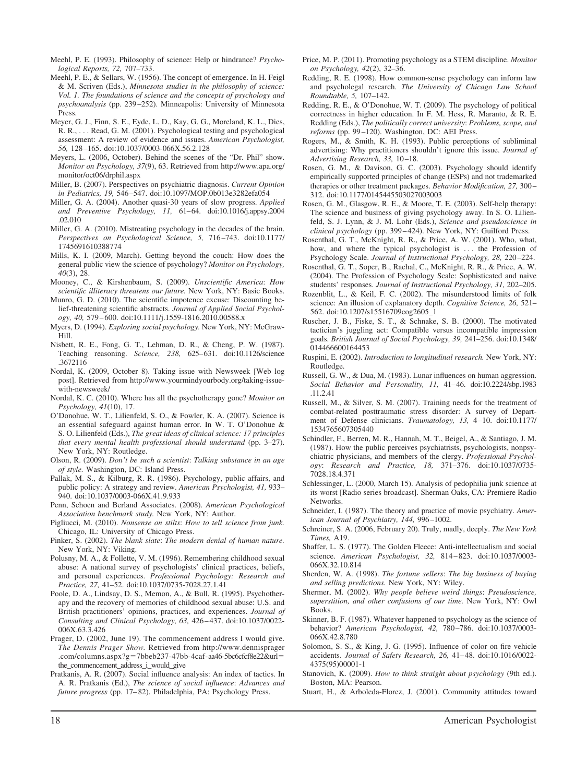- Meehl, P. E. (1993). Philosophy of science: Help or hindrance? *Psychological Reports, 72,* 707–733.
- Meehl, P. E., & Sellars, W. (1956). The concept of emergence. In H. Feigl & M. Scriven (Eds.), *Minnesota studies in the philosophy of science: Vol. 1. The foundations of science and the concepts of psychology and psychoanalysis* (pp. 239 –252). Minneapolis: University of Minnesota Press.
- Meyer, G. J., Finn, S. E., Eyde, L. D., Kay, G. G., Moreland, K. L., Dies, R. R., . . . Read, G. M. (2001). Psychological testing and psychological assessment: A review of evidence and issues. *American Psychologist, 56,* 128 –165. doi:10.1037/0003-066X.56.2.128
- Meyers, L. (2006, October). Behind the scenes of the "Dr. Phil" show. *Monitor on Psychology, 37*(9), 63. Retrieved from http://www.apa.org/ monitor/oct06/drphil.aspx
- Miller, B. (2007). Perspectives on psychiatric diagnosis. *Current Opinion in Pediatrics, 19,* 546 –547. doi:10.1097/MOP.0b013e3282efa054
- Miller, G. A. (2004). Another quasi-30 years of slow progress. *Applied* and Preventive Psychology, 11, 61-64. doi:10.1016/j.appsy.2004 .02.010
- Miller, G. A. (2010). Mistreating psychology in the decades of the brain. *Perspectives on Psychological Science, 5,* 716 –743. doi:10.1177/ 1745691610388774
- Mills, K. I. (2009, March). Getting beyond the couch: How does the general public view the science of psychology? *Monitor on Psychology, 40*(3), 28.
- Mooney, C., & Kirshenbaum, S. (2009). *Unscientific America*: *How scientific illiteracy threatens our future.* New York, NY: Basic Books.
- Munro, G. D. (2010). The scientific impotence excuse: Discounting belief-threatening scientific abstracts. *Journal of Applied Social Psychology, 40,* 579 – 600. doi:10.1111/j.1559-1816.2010.00588.x
- Myers, D. (1994). *Exploring social psychology.* New York, NY: McGraw-Hill.
- Nisbett, R. E., Fong, G. T., Lehman, D. R., & Cheng, P. W. (1987). Teaching reasoning. *Science*, 238, 625-631. doi:10.1126/science .3672116
- Nordal, K. (2009, October 8). Taking issue with Newsweek [Web log post]. Retrieved from http://www.yourmindyourbody.org/taking-issuewith-newsweek/
- Nordal, K. C. (2010). Where has all the psychotherapy gone? *Monitor on Psychology, 41*(10), 17.
- O'Donohue, W. T., Lilienfeld, S. O., & Fowler, K. A. (2007). Science is an essential safeguard against human error. In W. T. O'Donohue & S. O. Lilienfeld (Eds.), *The great ideas of clinical science: 17 principles that every mental health professional should understand* (pp. 3–27). New York, NY: Routledge.
- Olson, R. (2009). *Don't be such a scientist*: *Talking substance in an age of style.* Washington, DC: Island Press.
- Pallak, M. S., & Kilburg, R. R. (1986). Psychology, public affairs, and public policy: A strategy and review. *American Psychologist, 41,* 933– 940. doi:10.1037/0003-066X.41.9.933
- Penn, Schoen and Berland Associates. (2008). *American Psychological Association benchmark study.* New York, NY: Author.
- Pigliucci, M. (2010). *Nonsense on stilts*: *How to tell science from junk.* Chicago, IL: University of Chicago Press.
- Pinker, S. (2002). *The blank slate*: *The modern denial of human nature.* New York, NY: Viking.
- Polusny, M. A., & Follette, V. M. (1996). Remembering childhood sexual abuse: A national survey of psychologists' clinical practices, beliefs, and personal experiences. *Professional Psychology: Research and Practice, 27,* 41–52. doi:10.1037/0735-7028.27.1.41
- Poole, D. A., Lindsay, D. S., Memon, A., & Bull, R. (1995). Psychotherapy and the recovery of memories of childhood sexual abuse: U.S. and British practitioners' opinions, practices, and experiences. *Journal of Consulting and Clinical Psychology, 63,* 426 – 437. doi:10.1037/0022- 006X.63.3.426
- Prager, D. (2002, June 19). The commencement address I would give. *The Dennis Prager Show.* Retrieved from http://www.dennisprager .com/columns.aspx?g=7bbeb237-47bb-4caf-aa46-5bc6cfcf8e22&url= the\_commencement\_address\_i\_would\_give
- Pratkanis, A. R. (2007). Social influence analysis: An index of tactics. In A. R. Pratkanis (Ed.), *The science of social influence*: *Advances and future progress* (pp. 17– 82). Philadelphia, PA: Psychology Press.
- Price, M. P. (2011). Promoting psychology as a STEM discipline. *Monitor on Psychology, 42*(2), 32–36.
- Redding, R. E. (1998). How common-sense psychology can inform law and psycholegal research. *The University of Chicago Law School Roundtable, 5,* 107–142.
- Redding, R. E., & O'Donohue, W. T. (2009). The psychology of political correctness in higher education. In F. M. Hess, R. Maranto, & R. E. Redding (Eds.), *The politically correct university*: *Problems, scope, and reforms* (pp. 99 –120). Washington, DC: AEI Press.
- Rogers, M., & Smith, K. H. (1993). Public perceptions of subliminal advertising: Why practitioners shouldn't ignore this issue. *Journal of Advertising Research, 33,* 10 –18.
- Rosen, G. M., & Davison, G. C. (2003). Psychology should identify empirically supported principles of change (ESPs) and not trademarked therapies or other treatment packages. *Behavior Modification, 27,* 300 – 312. doi:10.1177/0145445503027003003
- Rosen, G. M., Glasgow, R. E., & Moore, T. E. (2003). Self-help therapy: The science and business of giving psychology away. In S. O. Lilienfeld, S. J. Lynn, & J. M. Lohr (Eds.), *Science and pseudoscience in clinical psychology* (pp. 399 – 424). New York, NY: Guilford Press.
- Rosenthal, G. T., McKnight, R. R., & Price, A. W. (2001). Who, what, how, and where the typical psychologist is ... the Profession of Psychology Scale. *Journal of Instructional Psychology, 28,* 220 –224.
- Rosenthal, G. T., Soper, B., Rachal, C., McKnight, R. R., & Price, A. W. (2004). The Profession of Psychology Scale: Sophisticated and naive students' responses. *Journal of Instructional Psychology, 31,* 202–205.
- Rozenblit, L., & Keil, F. C. (2002). The misunderstood limits of folk science: An illusion of explanatory depth. *Cognitive Science, 26,* 521– 562. doi:10.1207/s15516709cog2605\_1
- Ruscher, J. B., Fiske, S. T., & Schnake, S. B. (2000). The motivated tactician's juggling act: Compatible versus incompatible impression goals. *British Journal of Social Psychology, 39,* 241–256. doi:10.1348/ 014466600164453
- Ruspini, E. (2002). *Introduction to longitudinal research.* New York, NY: Routledge.
- Russell, G. W., & Dua, M. (1983). Lunar influences on human aggression. *Social Behavior and Personality, 11,* 41– 46. doi:10.2224/sbp.1983 .11.2.41
- Russell, M., & Silver, S. M. (2007). Training needs for the treatment of combat-related posttraumatic stress disorder: A survey of Department of Defense clinicians. *Traumatology, 13,* 4 –10. doi:10.1177/ 1534765607305440
- Schindler, F., Berren, M. R., Hannah, M. T., Beigel, A., & Santiago, J. M. (1987). How the public perceives psychiatrists, psychologists, nonpsychiatric physicians, and members of the clergy. *Professional Psychology*: *Research and Practice, 18,* 371–376. doi:10.1037/0735- 7028.18.4.371
- Schlessinger, L. (2000, March 15). Analysis of pedophilia junk science at its worst [Radio series broadcast]. Sherman Oaks, CA: Premiere Radio Networks.
- Schneider, I. (1987). The theory and practice of movie psychiatry. *American Journal of Psychiatry, 144,* 996 –1002.
- Schreiner, S. A. (2006, February 20). Truly, madly, deeply. *The New York Times,* A19.
- Shaffer, L. S. (1977). The Golden Fleece: Anti-intellectualism and social science. *American Psychologist, 32,* 814 – 823. doi:10.1037/0003- 066X.32.10.814
- Sherden, W. A. (1998). *The fortune sellers*: *The big business of buying and selling predictions.* New York, NY: Wiley.
- Shermer, M. (2002). *Why people believe weird things*: *Pseudoscience, superstition, and other confusions of our time.* New York, NY: Owl Books.
- Skinner, B. F. (1987). Whatever happened to psychology as the science of behavior? *American Psychologist, 42,* 780 –786. doi:10.1037/0003- 066X.42.8.780
- Solomon, S. S., & King, J. G. (1995). Influence of color on fire vehicle accidents. *Journal of Safety Research, 26,* 41– 48. doi:10.1016/0022- 4375(95)00001-1
- Stanovich, K. (2009). *How to think straight about psychology* (9th ed.). Boston, MA: Pearson.
- Stuart, H., & Arboleda-Florez, J. (2001). Community attitudes toward